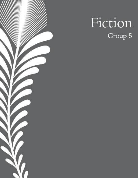

# Fiction Group 5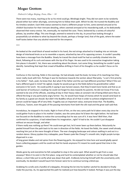# Mogao Grottoes

## Dulwich College Beijing, Frota, Elisa  $-18$

There were too many, reaching as far as his mind could go. Blindingly bright. They did not seem to be randomly placed either but rather alluringly, convincing him to follow their path. Which he did. He trusted the Buddha and his timeless wisdom. Each little statue seemed to chant a different prayer to him, some seemed amused at his childish fascination for their intricate detailing, others seemed annoyed at his meandering walk, as he dedicatedly observed their every crevice. Yet, eventually, he reached the cave. There, bolstered by a variety of colourful pillows, lay another effigy. This one though, seemed to extend to the sky, its proud face looking through a purposefully cut window to what lay beyond the clouds, perhaps a foreign land, that of the gods, where the water itself tastes better than any alcohol reserved for the emperor.

\*\*\*

He looked at the small block of wood nestled in his hand, the red strings attached to it leading into an intricate design of interlaced knots so as to resemble a square, attached by two of its opposing corners. It couldn't possibly have been a message from the Buddha. Slowly he traced the cloud motif he had so carefully chiseled into the block, following all its curls and waves with the tip of his finger. He was used to his overactive imagination taking him places it shouldn't. Yet, there was something about the dream. Just some thing. Something he couldn't quite identify. Something that kept that crowd of Buddhas drifting in front of his thoughts so he couldn't focus on his task.

Confucius in the morning, fields in the evenings. He had already read the book, he knew of its teachings but they never really stuck with him. Perhaps it was his hesitance towards the section about filial piety, "a son's first priority is his father". Yeah, yeah, he knew that. But what if the father and the son had different priorities? What if the son had a different goal in mind? He sighed, maybe he would just go to the fields before his grandmother called everyone in for lunch. He could justify it saying it was harvest season, that they'd need more hands and that as an avid learner of Confucius's readings he could not forget his duty towards his parents. He did not know if he truly wanted to be one of the officials, standing all day in their heavy robes at constant risk of being killed were they to offend the king or any particularly angry farmer. Yes, he would have heaps of money which he would send back to his family as a good son should. But didn't the Buddha refuse all of that in order to achieve enlightenment? A person could be happy off of very little. Frugality was an important value, everyone knew that. The Buddha, Confucius, Taoism, even the gods of the passing merchants from both the silk road and the great wall said that.

Incredulous, he stopped in his tracks. Right in front of him, on the very same path he'd taken every day since he could gather fruits to place in his mother's basket, was the same place he'd been the night before. He had been too focused on the Buddhas to notice the surroundings but he was sure of it. It was here! Well then, that confirmed his suspicions, it had indeed been his imagination…right? It had to be. He couldn't just disappear without an excuse though, and what

if there really was nothing up there? He could even get lost, he'd never been up there before. Reluctantly he peeled himself from the path back to his own in direction of the fields. He loved the fields, the sweet smell already reaching him just at the mere thought of them. The ever changing landscape and colours wafting in and out in a random dance. Glossy jujubes tiny crabapples, pear flowers pale like Chang E's smooth skin, bright purple turnips dispersed in a sea

of long green blades and red spires from the flowering garlic. He enjoyed his time here and would gladly spend hours collecting peppers until he could not feel his hands anymore if it meant he could spend that time in the garden.

Weeks gone by and everytime he felt compelled to stop in the same spot. What would he get from a cave anyways? Were it to exist in the first place. Long and hard he contemplated whether or not he should take that detour, a short hike just to verify what was down that path. Endlessly torturing himself with the uncertainty until, eventually, he decided it would haunt him forever were he to continue turning a blind eye.

Grabbing his scrolls and a handful of crabapples, throwing the lot into his leather satchel he decided to finally make the journey. As, he approached the path he realized just how beautiful it looked. Perhaps it was just the day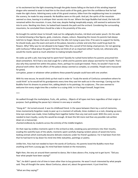or his excitement but the light streaming through the ginko leaves falling on the back of this winding imperial dragon who seemed to want to lead him to the cloud castle of the gods, gave him the confidence that he had made the right choice. Admiring every scale of this grand creature, fallen from the neighbouring trees to complete the scenery, he made his way onwards. No Buddhas were on this path. And yet, the spirits of the mountain seemed so close, leaning in to whisper their secrets into his ear. Where the large Buddha had stood, the hole still remained within the mountain. A cave, that now, despite feeling inexplicably empty, still seemed to welcome him into its arms. Nestling into them, he looked back towards the path and the orchard. Considering the surrounding mountains, he concluded there should be a lake in the proximity of the area.

He brought his satchel closer to himself, took out his calligraphy brushes, ink block and water pouch. On the walls he started drawing a few figures, gods, creatures, shapes, colours. Repeating the moves his parents had always told him to forget. Moves that were reserved for the idle rich trying to pass time. If he were to support his family, he should study, pass the exam and work at the palace, become a scholar and only then could he go back his flowers. Why? Why was he not allowed to be happy? Was this a proof of him being a bad person, for not agreeing with Confucius? What about the gods? Did they not think of art as important either? Surely not, otherwise why would the monks spend as much attention to making temples beautiful?

He woke up with a jolt, how long had he spent here? Quickly he rushed home before his parents presumed him dead somewhere. He'd had a very bad cough for a while and his parents were always worried for his health. That's also why they wanted him within the palace, there, perhaps he could get treated. There, he wouldn't have to do physical work either. But the affairs of the palace always seemed so complex, so unwieldy. People were massacred for greed,

corruption, power or whatever other problems these powerful people could have with one another.

With his new excuse, he would climb up that road in order to "study the words of Confucius somewhere where he could think" as he would tell his grandparents every time they saw him walk out in the mornings. Carving out the Buddha from his dreams to protect him, adding details to his paintings, his sculptures…The cave seemed to welcome him every single time like a mother to a crying child. In it he forgot himself, forgot time.

\*\*\*

He walked through the marketplace, fruits, silk, pottery… Objects of all types met here regardless of their origin or purpose. Each grabbing the passer-by's interest in one way or another.

"Hong ah!". He turned around. It was his childhood friend. In the space between them lay a cord of memories, times momentarily forgotten ready to peer up in a moment of solitude, times stubborn as a rock, showing up every time eye contact was made, times holding them together better than any real cord could. With this cord, no one needed to learn loyalty, surely this would be enough. At least this felt more real than any possible rule written down on a manuscript,

chanted endlessly by students across the entirety of the middle kingdom.

On that rope lay endless moments spent in the orchard as kids, sneaking juicy persimmons into their mouths, evading the watchful eyes of the adults; moments spent carefully shaping random pieces of wood into funny looking animals which eventually became delicate creatures under his friend's guidance. For it had been from him that he had learnt to lay down his mind into little statuettes, paintings or poetry.

Unlike him, Yixiu had not needed to learn the words of Confucius. His parents loved the Buddha more than anything and from a young age, his mind had been locked on the monastery.

Right then, the very air around them seemed to dance, like it does above a fire, trying not to get burnt. "Did you hear what people have been saying?"

"No", he didn't spend a lot of time in town other than to buy groceries. He wasn't much interested by what people said. They all thought the same. About Confucius, about art, about the government. It just tired him.

"What are they saying?"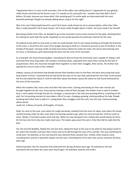"Apparently there is a cave on the mountain. One of the sellers was talking about it. Apparently he was getting really thirsty and tired and he found a cave, it's exactly on his usual path too. I wonder how they didn't find it before. Oh yeah, because you know what's the amazing part? Its entire walls are decorated with the most beautiful paintings! People are already talking about using it for the night"

Was it his cave? Had people found his cave? He'd never really shown his art to anyone before, other than YiXiu. Was it really beautiful? He'd never known. He'd never really thought about it either. He'd just made it for himself.

Borrowing clothes from YiXiu, he decided to go to the mountain to burn some incense for the gods, thanking them for sharing his work with the world. Hopefully no one would question his particular interest for the cave.

He walked up the path he now knew so well, he could already start to see smoke winding up through the branches of the trees, a cloud from the snout of his dragon dancing to itself as it started its journey to join its brothers in the temple of the gods. Carrying smells of wood and various dishes he could not name, the cloud came dancing near his nose, a mischievous spirit welcoming him back into the arms of his mountain.

As a final gift, the cloud shared laughter. Something he did not know the merchants were capable of. Always cold and tired from their long walks, the travelers remained alone, separated from each other merely by the lack of acquaintance. Here, the mountain brought them together to share their struggles, their stories. His mother had opened her arms to more of her children.

Indeed, a group of merchants had already thrown their bamboo mats on the floor and were discussing how lucky they'd been to find it. Surprised that he had found the cave on his own they welcomed him into their circle around the fire and asked him about it. And he told them about the dream, about the solace he had found embraced by the arms of the mountain.

When the travelers left, more came and after that even more. Coming and leaving on their own mission yet brought together by the cave, every person leaving a mark of their passage: the embers from a meal of another land, a story spoken through the lips of a stranger, a manuscript in the now ever growing library, a painting on the wall. For his painting seemed to have taken a life of its own, changing, growing, evolving without his help. People teaching each other how to add to it. Laying down their struggles onto the rock, into the rock. Communicating where words

could not. A library of words, of thoughts, of stories.

Daily, he came to the cave, even when his cough worsened, stealing from him even his sleep, even when the lumps started forming under his skin, even when his hearing started to go, when his urine turned red. Until he could no more. Weeks, it had been weeks since that day. When his cave had given him a family who would always be there for him but who he'd only ever really meet once. The weeks away were the worst. Only then did he really feel the pain.

Yet, the merciful Buddha, helped him one last time, taking him back to the cave to do what he had always loved to do, watch the travelers and hear their stories and so he did through the eyes of his animals. This was everything he could want. He watched, as the cave became two, became three, became four. Smiled, when anyone came, inscribing their worries in beautiful shapes into the cave, reminding him of his own trips up the mountain all those years ago.

Embracing them, like the mountain had embraced him during all those years ago. He watched as the last merchants left and when the caves were found again. He watched, watches and smiles.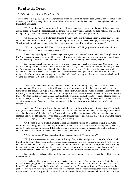# Road to the Desert

#### ESF King George V School, Zhao,  $Ran - 16$

The contents of Yang Zhigang's truck: Eight tonnes of lumber, a beat-up stereo blasting Mongolian rock music, and a seventy-year-old ex-tour-guide from Shaanxi History Museum who'd broken out of his nursing home to hitch a free ride to Dunhuang.

"You're telling me I'm harboring a fugitive?" Zhigang demands, swerving to the side of the highway and gaping at the old man in the passenger seat. He turns down the heavy metal and rubs his face, not knowing whether to laugh or cry. "You could have said something before I picked you up at that gas station!"

Up close, Mr. Yu looks frailer than Zhigang thought. His back is bowed, and there's a faint quaver to his voice. When he runs his hands through his hair, his fingers shake. "I didn't need to escape," he says pragmatically. "I just walked through the front door. Besides, I left a note on my bed. I'm sure they'll understand."

"What about your family? What if they're worried about you?" Zhigang shakes his head incredulously. "What business do you have in Dunhuang anyways?"

Later, Zhigang will play that moment again and again in his mind—the dusty windows, the slight tremor to Mr. Yu's hands, the steadfast weight of his gaze. He'll wonder what stopped him from turning around and driving the old man straight back to his nursing home in Xi'an. "There's something I need to see," says Yu.

Zhigang scratches his ear and frowns. He's always considered himself a practical man: No questions, no fanciful thinking. He puts his head down, hauls his lumber, and stays out of trouble. But there's something in the old man's voice, something keen and unbound, like if Zhigang dropped him off at the side of the road, he'd walk straight to Dunhuang himself. Later, Zhigang will relieve this encounter again and again in his mind, but at the moment, there's not much going through his head. He looks the old man up and down, turns the stereo back to full volume, and shrugs. "Let's get going then," he says.

The days on the highway run together like streaks of rain, glimmering with yawning skies and distant mountain ranges. Despite his reservations, Zhigang has to admit he doesn't mind the company. As heavy metal blares in the background, Yu regales him with stories of ancient Chinese relics—wooden horses, jade swords, and the Shang dynasty oracle bones he'd led tours on during his time at Shaanxi Museum. Most of all, the man loves the Mogao Grottoes. As the days pass, Zhigang gathers that he's traveling to Dunhuang to see them. Zhigang has heard of the grottoes, of course—everyone has—but he's never been sure why so many tourists flock to Dunhuang just to see a few dusty caves. It's not his problem, he supposes. If they're happy blowing their money, who's he to complain?

As Yu and Zhigang travel west, the trees and hills turn slowly to yellow plains. Zhigang takes Yu to Weihe River, then to his favorite noodle shop in Tianshui, then to the flame-colored mountains of Zhangye, their ribbons of strata like the whorls of oil paint. He doesn't know why—he still has that shipment of lumber to make—but there's something about the old man, the way he nods along to Zhigang's stereo and reminds him to keep warm, the weight of his hand on Zhigang's shoulder. Maybe Zhigang is just lonely.

On the road to Baoji, Yu tells Zhigang about a Daoist monk finding an abandoned temple in the Gobi Desert, its rafters wispy with cobwebs, its pillars half-buried in sand. He spent his days reshelving books, restoring paintings, and sweeping out the sand-filled halls. One day, following the drift of his cigarette smoke, he found a crack in the wall of a shrine. When he tapped on the stone, he found it was hollow.

"What was behind it?" Zhigang asks, intrigued despite himself. "A secret room?"

"Not just a room—an entire cave system. A library of stone. He found piles and piles of scrolls, stacked from floor to ceiling: Tibetan stories, Sanskrit mantras, manuscripts from every corner of the world. And when he held his candle to the walls, murals leapt to life before him: temples and gem-colored birds, bodhi trees wreathing the high ceilings. And in the alcoves, thousands of statues," Yu says. When his voice gets like this, you can't hear the tremor anymore. "Demons, fairies, gods. Some the size of your thumb, some more than thirty meters tall."

Zhigang shakes his head, whistling. If he found a room of treasures in his apartment, he could stop hauling lumber forever.

In Lanzhou, Zhigang stops at a farm to collect a shipment of nuts. That evening, he takes Yu to the night market on Zhengning Road, and they buy a grilled fish and two steaming bowls of milk pudding. Under the lantern lights, Yu tells Zhigang about the Daoist monk and the explorer who'd journeyed from the West in search of the grottoes' secrets. How they ate together by the fire each night and the explorer wheedled, then bribed, then begged for the monk to unlock the grotto doors. When the monk refused, the explorer returned to him with trunks of silver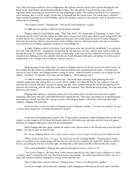taels. When the monk raised his voice in desperation, the explorer told him stories of his journey through the Silk Road, of the wind-blasted mountains and wild desert dunes, how the path he'd traced was the same one the legendary monk Xuanzang had traversed on his holy pilgrimage to India. The explorer said that he was Xuanzang's spirit incarnate, that it was the monk's divine duty to bequeath him the sacred tomes. The monk spent a sleepless night beneath the painted eyes of the Buddhas, and in the morning, returned to the explorer's tent. In his hands was a manuscript by Xuanzang.

"The original volume?" Zhigang asks. "The one he wrote during his voyage?"

Yu sighs heavily, spitting a fishbone into the plastic container.

Zhigang shakes his head disbelievingly. "That filthy thief!" He's heard tales of Xuanzang, of course, from his parents and his school teachers, before his father died of lung cancer and he quit school to start laying bricks. But to think that he was a real person, that he laughed and bled and wrote books about his travels. It makes Zhigang's head spin, his ears buzz, like he's just downed a bottle of baijiu. Like he's driven his truck to the top of a mountain and stood there at its summit, gulping in lungfuls of cold midnight air.

At night, Zhigang reclines in the driver's seat and stares at the stars beyond the windshield. Yu is asleep in the small cabin behind him—Zhigang has insisted that the old man have the bed—and his quiet snores reverberate through the truck. It's strange, sharing this small, cramped space with someone else. Ordering two bowls of noodles instead of one. Pulling over to the roadside when the sun floods the grain fields gold, and asking Yu which poem it reminds him of. It's strange, but he thinks he could get used to it.

Qinqiang opera on the stereo today. As much as Zhigang wants to rib the old man for his taste in music, he has to admit that the clamor of woodblocks and string instruments does something for his spirits. A pickup truck swerves in front of them, and Zhigang mutters a string of curses—under his breath, of course, out of respect for the elderly. "And then?" he prompts as he turns onto the highway. "What happens next?"

Yu folds his hands, leaning back into his seat. "The monk spent a blustery night gathering the most valuable manuscripts and sealing them in a cavern, but he couldn't save them all. One by one, explorers from the East and West arrived with their caravans of camels and men. They combed through the scrolls and paintings he'd spent his life protecting, and left with their trunks filled with treasures. They offered the monk money, but what need did he have for money?"

Zhigang looks sideways, waiting for more, but Yu has fallen silent. He gazes out at the snow-capped mountains, their peaks like pale, unfinished brustrokes against the sky. These days, the simple act of speaking takes more and more breath from him. He's going to catch a cold, Zhigang thinks, with all that wind from those open windows. Zhigang rolls them shut.

At the rest stop, Yu lays two slices of mutton on top of Zhigang's noodles. "You have my mutton," he says. "Look at those strong arms. A young man needs his mutton."

As the trees and buildings grow sparser, Mr. Yu gets quieter and quieter. When Zhigang points out the wild camels, he takes longer to lift his head. His breath comes in a frail rattle now, and when the truck tyres jolt against potholes, his rasping coughs grow more and more pronounced.

When Zhigang asks him, again, whether he wants to see a doctor about it, the old man only waves his hand lightly. "Too late for that, too late for that."

#### *He's dying,* Zhigang realizes. *He's dying, and he wants to see the Mogao Grottoes up close before he dies.*

**"**When we get to the caves," Yu says, "we need to go see the reclining Buddha." Zhigang doesn't know when Yu decided he was coming along with him, but he's not about to complain. He might have lumber to deliver, but he's not letting the old man out of his sight. He looks like a stiff wind would blow him into the next county.

"The reclining Buddha?" Zhigang asks, glancing through his rearview mirror at Yu.

"You'll never forget it. The head alone is three meters long, but his face, there's such a stillness to it. Such a serenity. And I've heard that the view from the terraces is spectacular—the whole desert laid out before you. It's a long walk, but that should be nothing for a young, strong man like you."

"Don't forget about yourself, old man," Zhigang teases. "Aren't we walking there together?"

Yu lets out a laugh, which turns into a rasping cough. Zhigang pats him hard on the back until it subsides.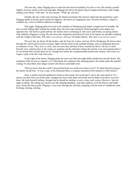The next day, when Zhigang tries to rouse the old man for breakfast, his skin is cool. His mouth is parted slightly, his face serene in the morning light. Zhigang sets down the plastic bag of congee and bread, a dull weight settling in his throat. "Old man," he says quietly. "Wake up, old man."

Outside, the sky is blue and yawning, the distant mountains like furrows raked into the ground by a god. Zhigang stands in the dry grass beside the highway, the desert air stinging his eyes. He feels formless: a flag in a windless sky, a hot air balloon tethered to nothing.

That night, Zhigang parks his truck in the outskirts of Dunhuang and orders a single bowl of noodles. He eats it at the folding table outside the noodle shop, the store sign casting its flickering light on the empty seat opposite him. The broth is good and hot, the mutton slices swimming in chili sauce and freshly cut spring onions. And suddenly Zhigang is crying. He sets down the chopsticks and buries his face in his hands, his shoulders shaking with the weight of the sobs. *Why didn't you tell me, old man?* he thinks bitterly. *Why didn't you tell me sooner?*

The next day, he drops off the lumber, asks his boss for a leave, and sets off for Dunhuang. He drives alone through the wind-tossed tussocks of grass, lights incense alone at the roadside temples, puts on Qinqiang opera for an audience of one. They were so close. Just one more day and they'd have reached the desert. He has to catch himself, now, making jokes to the empty air, pointing out the ridiculous things the tourists wear and realizing there's no one beside him to point them out to. Strange how easily the companionship had become routine, well-worn as a wagon's path in the dirt road of his days.

At the edge of the dunes, Zhigang parks his truck and takes the eight-dollar shuttle bus into the desert. The sandstone cliffs are just as majestic as Yu described, the sculptures like sleeping giants. He stands under the painted ceilings Yu described, their ridges twined with flowers and bodhi trees.

"Did you know that the world's first printed book was archived in these caves?" he finds himself saying to the family beside him. "It was a copy of the Diamond Sutra, a scripture translated from Sanskrit to Old Chinese."

Soon, a small crowd has gathered to listen to him speak. His words don't weave the same spell as Yu's stories, but they flow out all the same, dredged out from some deep well inside him he didn't even know was even there. He finds himself smiling. Strange that he should be smiling, at such a time, such a place. But he is. And oh, night is falling. The fading sun wheels over the sleeping Buddhas, casts blue shadows over the flowers and bodhi trees, floods the desert gold. Zhigang's voice rises through the old halls, mingling with the rush of windblown sand. Echoing, echoing, echoing.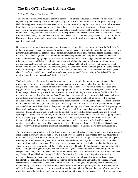# The Eye Of The Storm Is Always Clear

#### ESF Sha Tin College, Sin, Jasmin  $-17$

There was once a monk who travelled the seven seas in search of rare antiquities. He was known as a man of wealth beyond the gold or dazzling jewels of naive prosperity. For he was known for his wisdom, his poise and his grace. He had a long pointed nose and often dressed in ivory white robes, adorning the precarious planet with his presence. Many looked upon him as an item of envy. His words, heeded like mantras, his movements observed as a holy dance. The monk was an enigmatic entity. Beholden only to himself, yet serving the needs of everybody else. A humble man, sailing across the cerulean skies in a noble pilgrimage: to unearth the shrouded spectres of the skeleton soldiers hidden amongst the brambles of the harmonic heavens. At his journey's end, he deemed it fitting to revive his roots, ceding to the untangled legacies of his various victories. Returning once more, to the beginning and the end of his stories galore.

His eyes crowded with the haughty companion of treasures, striking objects used as bait to hook the fresh baby fish in the jarring raucous seas of commerce. The ecstatic summer breeze reeling and hitching at the line of unsuspecting patrons walking through the gates of strait. The familiar rhythm of timber carts rocketing against the ragged rocky roads as a mischievous growl of crackles and rumbles echoed opposed to the cold press of the coarse pavement floor. It's body bound tightly together by the will of a million thousand threads tugged taut with fathomless trial and tribulation. His ears swiftly blessed with the lyrical tones of might and mass as he followed the steps of an eager merchant approaching… Adorned with jade sage robes, his head held high with a sharp stout nose in his grand march across the old narrow road. The merchant greeted the great monk with a thundering toll: "Welcome! Behold! Believe! For the spectacle before you is this world's only worthwhile wonder! Your unpleasant hunt is over, cast about that hefty anchor! Come, come close, wander and take a gander! What you wish to find is here! For the magical, magnificent and marvellous Silk Road is near!"

Tracing the twists and the turns all along the gluttonous path, he swam in the tumultuous tang of metals, the reverberant ring of bells, the tsk and tuts of traders defending their precious merchandise from the detrimental dangers of a lower price. The monk smiled softly, reminiscing the days where he would spend ceaseless nights haggling over a costly cent. Haggard by the hapless plight of a dollar lost in overbearing anguish, a cemetery for loose change and snatched quarters. Indeed, it was on this wistful winding road that he would find himself in the melancholic umber setting of the Singing Sand Mountains — the place where his journey had all began, and where it would soon end. The remnants of his pretentious past were now only a vestige of his current self; a stranger unaware and unsuspecting of all his latest astounding accomplishments. Standing at the edge of the cosmic crescent moon crater, the monk let go, exhaling a long and blissful sigh at the dramatic scene that played out before his eyes. A destined dawn in the distant horizon dampening the night into a pile of ash and dust, a blood red river pouring into his palms in its honey eyed attempt to corrupt him. But to no avail, for the monk had prevailed easily. His soul searched white as a lily. And so he watched as the small stream shrivelled and shrank, scattering into the small sparse specks of sand. The valiant army of tiny bronze warriors retreat back to their eminent castle, slipping straight through the giant gaps between his fingertips. They shifted and stirred, cowering in the face of their new fearless foe. And with his prominent glory, the colossal mountains seemed to have begun to fold, as if to greet him graciously with a benevolent bow. The monk sat in content at his own self discovery. Relishing in his enchanted reverie, yellow with enlightenment, green with providence, he began to sink into his own fortuitous recreation…

There was once a man who knew only the desolate plains of a boundless barren land. He had a tired droopy nose and often dressed in worn out tattered rags. He was a man of few possessions: a small wooden bowl that never tasted like a fresh meal, a metal flask for a liquid that was never water and a large floppy hat, limp with the high hopes of shielding him from the scorching heat of the star that towered above. In this age, he was known for his drunken songs, weak stomach and sorry state. Many gazed upon him as an item of hatred, a beggar plaguing the virtuous shores of the merchants and visitors of the legendary road weaved together by fabulous silks. Even so, sitting at the foot of the rough and ragged ridge, the man himself was a legend! A myth known as the herald of gloom, for everywhere he went, a grave of business would follow. Indeed, he was the source of dread for the masses. On most days, he would spend his hours rotting in the light of the blazing Sun, minutes stealing wine from passing merchants, days getting beaten into submission for his misdemeanour and seconds waiting for dusk to shake his hand kindly. To congratulate him for getting through the horrid day. He came and went as he pleased, growing accustomed to the merchants who condemned him, fearful of awakening the omnipotent power of the merciless mountain king. They warned him to cease his hideous acts of atrocities, the gods despised the disturbance of their delicate dunes. But he paid no heed to their warnings, nor their stark chants: "Beware the wrath of the deities who dwell deep inside the deadly terrain. They will not be so kind in the face of your insolence." To which his reply was: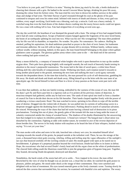"You believe in your gods, and I'll believe in mine." Raising the dense jug stuck by his side, a bottle dedicated to cheering their distaste with a grin. He bathed in the sacred Crescent Moon Springs, drinking his poor life away, draining the colour from his forlorn veins. The man tried his very best to drown his endless sorrows in the amber slops and sludge of bad wine. The bitter flavour of grief resonated through his soul as the ghosts of his past continued to trespass and cross his rotten mind. Infested with insects of death and disease, to him, every god was ruthless, every angel: terrifying. Each bottle was a blessing, each sip: a miracle. Guilt was a heavy melody. A wretched song that even the loud drums of the shaken shores crashing into the tawny brown stacks could not ignore. He was a man with nothing left to lose. Fate had stripped him of everything several eons ago…

The day the world fell, the heartbeat of war thumped the ground with a hum. The strings of love had snapped briskly and it had all come crashing down. Scraps of battered corpses banged against the fragments of his once loved home, the boom of an earthquake splitting his soul into two. What was his sin? His wrongdoing? The man often pondered why his life was left in shambles, so imperfect. No wonder. No pulse. No consonance. No cadence. Huffing he smoked, puffing his aspirations, his dead ambitions preached as prayer to the choir of toxic fumes; his loathsome and tiresome addiction. He was left with no hope, no pipe dreams left to envision. Without family, without name, without wealth, without meaning. Indeed, in this space, the man found himself belonging to the plane where gallant gladiators came to grapple. The glorious golden arena where cities came to die — the dead end of the universe where nothing had quite existed yet.

Many a moon drifted by, a company of immortal white knights who took it upon themselves to tear up the sombre stygian skies. Their pale faces glowing brightly with marigold warmth, the soft touch of heavenly hands turning its attention to the moon's purposeful reanimation. The moon laid in the lake of saved space, a white lotus flower drifting aloft the calm breaths of compassionate clouds. Withering into black, each rotation turned it inwards to bring another placid petal to the ground, stemming the next lune and stalking the man's acrid agony outwards towards the despondent desert. In the time that ticked by, the man pursued his cycle of self-destruction, gambling his life away. He drank and drank and drank and drank away, filling himself up to the brim with the sour taste of an apocalyptic age. He forced himself to burn and flare in a fever of stray passion as the hours went past tock with time.

It was then that suddenly, on that one fateful evening, enthralled by the vastness of this ocean of woe, the man felt the dune's grit fly and flurry past him in a rigorous rush as if to protest all his previous claims of dejection. A tenacious tempest had gathered, unlike any he had ever seen. The sands of time spiral into itself to form a chamber of council for Fate to decide their decree on his life hereafter. Their hands clasped together firmly with the power of weathering a vicious cataclysmic flood. The man watched in terror, sprinting in his efforts to wipe off the terrible taste of demise. Dragged into the violent tide of disaster, he was pulled into its currents of suffocating waves in a desperate struggle against the deafening force of final deliverance. Pushing ahead in search of samaritan salvation. He winced. Witnessing the ways of the chaos that had led waste leaving a dismal trail of destruction in its pious proclamations. Twisting him out of place, the greedy gales of the tornado left the man to hang aside the tower of calamity constructed amidst the clump of wreaked havoc. The shadows of his doubts illuminated by the unwavering host that trudged in to replace its relentless predecessor. A brand new torturer! The hanged man's observation was disturbed by the commotion. Fighting at odds with mother nature, he wrestled in awe of the reverse depiction of doom besides him. The nerves in his body shaken with mayhem as he heard the hint of faint whispers, hushed voices saying: "It is not yet your time."

The man awoke with aches and sores in his side, knocked into a dreary wet cave, he remarked himself alive! Limping towards the mouth of the grotto, he peeped outside at the turbulent void. There, he saw the mirage of the years, a thousand benevolent gods swaying, whirling, trilling and trolling atop the vague silhouettes of the sunlight's tan rays that bounced zestfully off the swirling column of sand. His mouth gaped wide open as he stared out in bewilderment. A glimpse of a perpetual paradise beyond the vivid horizon. Doubt had fallen to its knees in defeat. Hope, the executioner who had severed Doubt's lonely head and slit the organ clean on the whim of predestination. The cleaved limb rolling south the illustrious round hills to join the gregarious gists of bygones long past. Together, they feasted, devouring Doubt decapitated, destroyed and detached.

Nonetheless, the harsh winds of the storm had still yet to settle… Now trapped in his tower, the man stilled. Bewitched by the view of what he thought was an ancient war, a ritual like no other, he watched the gods prance in pleasure, jubilee and gaiety. He stood under shock at the image of their contentment. They were satisfied and delighted with no hint of resentment. His eyes turned emerald green at the lively cinematic scene. Turning slowly he noticed the dim caverns that surrounded him, his saviour, he examined with thankful cries and repletion. The weary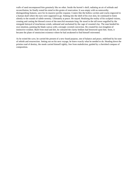walls of sand encompassed him genuinely like no other. Inside the hermit's shell, radiating an air of solitude and reconciliation, he finally rested his mind in this grotto of reservation. It was empty with no noteworthy distinguishing features, save for its massive pyrrhic expanse. Craters like the hollow cavities and cracks engraved in a human skull where the eyes were supposed to go. Sinking into the shell of his own skin, he continued to listen silently to the sounds of subtle serenity. Ultimately at peace. He stayed. Realising the reality of his sculpted visions, creating and casting the blessed crown of the merciful mountain king. He stood in the tall tower engulfed by the renegade betrayal of treacherous winds, unbound and unchained by the cage of cosseted clay. The man heeded his own intuition, painting the blank canvas with a strongly coveted conviction. He created his own kingdom of instinctive wisdom. Built from mud and dirt, he coloured the clarity bedlam had bestowed upon him. Soon, it became the plane of omniscient existence where he had awakened to find himself reinvented.

As he exited the cave, he carried the present of a new found purpose, one of balance and peace, redefined by his tune of rebirth and resurrection. Setting out on his next voyage, he knew exactly what he needed to do. Heading down the pristine road of destiny, the monk carried himself rightly, free from malediction, guided by a cherished compass of composition.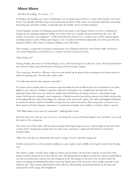# Mirror Mirror

#### ESF Sha Tin College, Yu, Vivian  $-17$

In Shazhou, the bustling city center of Dunhuang, was an antique shop tucked in a corner of the frenetic city's heart. Passers-by typically took little notice of its unassuming storefront. Only visitors of a particular disposition, possessing discerning taste and often wealthy, would push open the double-doors of Yuehai Antiques.

Yuehai Antiques' location in Dunhuang meant that its proximity to the Mogao Grottoes served as a backdrop of intrigue for the antiquities displayed within, even if few items were actually treasures looted from the caves. All manner of curiosities were displayed - scrolls looted from the Library Cave, ceramics once used by eminent figures including emperors, poets, Peking opera singers, even a wooden stool that had supposedly once been graced by the buttocks of Marco Polo when he stopped at Mogao on the Silk Road.

One evening, a young man was keenly examining the wares displayed under the warm lantern-light. He heard a voice from behind him, and turned to see a woman who now stood next to him.

"May I help you?"

Ouyang Yuzhui, the owner of Yuehai Antiques, was a well-known figure in collector's circles. She had inherited the store from her father and prided herself on being an archivist beyond compare.

The young man, dressed in a Western-style overcoat, pushed up his glasses before pointing to the bronze mirror he had been studying prior. He said with a polite smile,

'I'm rather fascinated by this exquisite counterfeit.'

In a nation whose people relied on commerce and artisanship for their livelihood, this was no statement to be taken lightly. It was a threat to Yuzhui's scrupulous collection of antiquities, for it implied that she had erred. This particular bronze mirror was one of the few artifacts that did hail from the Mogao Grottoes, a fascinating 'magic mirror' that behaved as though it were transparent. A British researcher had sold the mirror to her father decades after it had supposedly been taken from Mogao by explorers in the nineteenth century. Her father had haggled relentlessly to acquire the mirror, which he identified as being from the early Yuan period. This young man's accusation was a direct attack on Yuehai Antiques' reputation as connoisseurs of quality and an offense to Yuzhui's father's memory.

"Oh? What makes you so sure it's counterfeit?" challenged the owner.

She knew there was only one way to save face and salvage the esteem of Yuehai Antiques; she must find a way to sell this mirror to the young man.

The mirror was of fine make, with an intricate design of the Eight Legions cast in a wheel design on the back of the circular mirror. A gleaming red jade bead sat in the center, attached to a gold tassel that had been restored by Yuzhui's father.

"Miss, may I ask that you demonstrate the mirror's 'magic' for me?' asked the young man.

Yuzhui narrowed her eyes but complied, pulling on a pair of gloves and carefully removing the mirror from the glass case.

The mirror's 'magic' was that when a light was shone onto its surface, the decorative patterns on the back of the mirror would be projected out of the reflective side. This phenomenon intrigued scientists for centuries until finally it was discovered that these mirrors were not transparent at all. The designs on the back were cast first, before the stresses of shaping and polishing the mirror caused the thinner parts of the decorative side to bulge outwards on the reflective side. Thus, minute imperfections of the reflective side perfectly matched the patterns on the back and projected the whole image when brightly lit.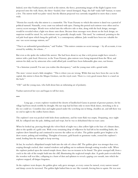Indeed, now that Yuzhui pointed a torch at the mirror, the fierce, penetrating images of the Eight Legions were projected onto the wall; Asura, the three-headed, four-armed demigod, Naga, the half-snake half-human, to name a few. The mirror itself was palm-sized, but the illusion projected was currently magnified to more than a meter wide.

"Herein lies exactly why this mirror is a counterfeit. The Yuan Dynasty to which this mirror is dated was a period of political turmoil. Naturally, every court was infested with spies. During this period such mirrors were often used to convey secret messages. Words were etched into the reflective side so that, along with the back design, messages would be revealed when a light was shone onto them. Because these messages were absent on the back design, no suspicion would be raised. So, such mirrors were generally cheaply made. This tassel,' he continued, pointing to the red jade bead upon which hung the gold tuft, 'is a contemporary addition. Jade would have been too valuable for one-use secret message mirrors, no?"

"That is an unfounded generalization," said Yuzhui. "This mirror contains no secret message - by all accounts, it was owned by nobility, for whom…"

But even as she spoke she realized the answer. She had been about to say that a rich person might have owned a mirror with a jade bead. However, in the Yuan Dynasty, glass mirrors were being imported from the West, and mirrors for daily use by aristocrats who could afford jade would have been fashionable glass ones, not bronze.

"As a historian yourself, I'm sure you realize this discrepancy," said the young man with a genial smile.

The store-owner stood a little straighter. "This is where you are wrong. While that may have been the case in the capital, this mirror is from the Mogao Grottoes, not the royal court. There is a very good reason there is a tassel on the back."

"Oh?" said the young man, who held about him an infuriating air of pedantry.

Yuzhui narrowed her eyes and began to tell her story.

#### \*\*\*

Long ago, a weary explorer wandered the deserts of landlocked Gansu in pursuit of greener pastures, for his village had been struck terribly by drought. His star map had led him only to more bleak dunes, stretching as far as the eye could see. Countless days and nights passed under the scorching sun in biting, cloudless air, and still there was no end in sight to the endless barren dunes.

The explorer's tent was pocked with holes from sandstorms, and his water flask was empty. Despairing, once night fell, he collapsed into the pale, shifting sand and wept, but he was so dehydrated that no tears came.

When he looked up, piercing through the velvet black of night was a dim yellow light at the base of a distant dune, akin to the sparkle of a gold coin. With every remaining drop of willpower he had left in his trembling limbs, the explorer drew himself up and continued to traverse the sullen sea of ashes. The golden sparkle grew brighter as he drew nearer, pulsing and twinkling. Thoughts of treasure, gold hoards or gemstone vaults, crossed the explorer's mind, lending him the strength to keep moving.

At last, he reached a dilapidated temple built into the side of a sheer cliff. The golden glow was stronger than ever, seeping through cracked, dust-matted windows and spilling out in sunbursts through rotting wooden walls. When the explorer pushed open the ruined temple doors, there was no treasure to be found. The glow emerged still, from a crack in the side of the temple built into the cliff, illuminating the neglected temple altar. A gentle push revealed that the wooden wall was false, collapsing in a burst of dust and splinters to reveal a gaping cave mouth, into which the explorer stepped, all fatigue forgotten.

As the explorer went deeper, the golden glow only grew stronger, at every corner he turned, every narrow tunnel and damp cavern he traversed. The golden light bathed him in sun-like warmth, forcing him to squint. He was now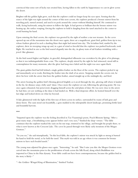convinced that some sort of lucky star awaited him, having fallen to the earth by happenstance to cast its glow across the desert.

Brighter still the golden light grew, such that the explorer could no longer keep his eyes open. Sensing that the source of the light was right around the corner of this next cavern, the explorer produced a bronze mirror from his traveling pack, turned around, and used it to peek around the corner without blinding himself. He continued to walk, facing backwards, using his mirror to follow the light. It had grown so brilliant that the bronze mirror was heating up, the surface warping, forcing the explorer to hold it dangling from the tassel attached to the center to avoid burning his hand.

Upon entering the final cavern, the explorer was greeted by the sight of neither a star nor treasure. As the caves opened up out of the mountains into the desert once again, there sat a magnificent, giant bird, golden from tip to toe, whose feathers glowed in such a dazzling blaze that night had turned into day. The leviathan bird, startled by the explorer, drew its sweeping wings up and, in a gust of wind so forceful that the explorer was pushed backwards, took flight. He watched in awe as the bird soared elegantly into the sky, its glossy train of tail feathers twinkling with a jewel-like glimmer.

As the bird soared higher and higher, its graceful, distinguished silhouette was overtaken by the glow of its plumage, so that it was indistinguishable from a star. The explorer, deeply stirred by the sight he had witnessed, stood still in contemplation for many moments, after the glow had long since faded and the night was once again black.

The giant golden bird had left behind a single golden feather on the floor of the cavern. The explorer picked it up and immediately set to work, fletching the feather into the shaft of an arrow. Stepping outside the cavern exit, he drew his bow with the arrow that bore the golden feather, aimed straight up at the midnight sky, and fired.

The arrow bearing the golden bird's blessing glowed brightly as it arced through the sky, glowing still where it landed in the far, far distance atop a lofty sand-dune. Once more the explorer set out, following the glowing point. He was once again exhausted, but persevered, dragging himself across the arid plains of dust. He was now close to the arrow he had shot, yet saw nothing at the dune it had landed on. With a final desperate effort, he hoisted himself over the last ridge and looked down on what lay beyond.

A lake glimmered with the light of the first rays of dawn across its surface, surrounded by reams of lush grass and dense forest. The oasis stood out beautifully, a gem studded in the inhospitable desert landscape, promising fertile land and bountiful harvests.

#### \*\*\*

"Imparted upon the explorer was the feeling described in Tao Yuanming's poem, Peach Blossom Spring: 'After a great many steps, a breathtaking scene appears before one's very eyes,'" finished the shop-owner. "The fable continues that the explorer marked the oasis on his star map, returned to his village, and brought his people there, to what is now known as the Crescent Lake. The caves he passed through were likely early iterations of the Mogao Grottoes."

"So you see," she said triumphantly, "In this local fable, the explorer's mirror was struck by light so strong it burned his hand to hold the metal, so he held the tassel. This myth was told in an age where it was common for bronze mirrors to have such beaded tassels."

The young man adjusted his glasses once again. "Interesting," he said. "But I raise you this: the Mogao Grottoes were carved into the mountains prior to the proliferation of trade across the Silk Road, along which Buddhism was imported to China in the Han dynasty. Your fable could not have been contemporaneous, because the golden bird in the story is likely-"

"-the Golden-Winged King of Illumination," finished Yuzhui.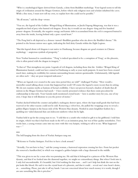"Who is a mythological figure derived from Garuda, a deity from Buddhist mythology. Your legend seems to tell the origin of civilization around the Mogao Grottoes, before which only religious men and scholars inhabited the caves. While a fine story, I must now tell my own, to explain how this could not be possible."

"By all means," said the shop-owner.

"You see, the legend of the Golden-Winged King of Illumination, or Jinchi Dapeng Mingwang, was that it was a magnificent bird of prey who hunted evil dragons. Every day it would eat one dragon-king and five hundred poison-dragons. Eventually, the negative energy and karmic debt it accumulated from the evil it conquered burned it away from the inside, leaving behind only a pure crystal heart."

"The Peng bird is oft depicted as a demon-turned-Buddhist guardian who sits above the Buddha's throne." He pointed to the bronze mirror once again, indicating the bird deity Garuda within the Eight Legions.

"But this legend about evil dragons is not native to Dunhuang, because dragons are good creatures in Chinese mythology  $-$  auspicious symbols of prosperity."

Now Yuzhui hummed in consideration. "'Peng' is indeed speculated to be a corruption of 'Feng', or the phoenix, who is often paired with the dragon in imagery."

"Is that so? That strengthens my point. Legends of evil dragons, including those that the Golden-Winged King of Illumination hunted, could not have existed in Dunhuang as early as your myth purports. It must have been created much later, making its credibility for customs surrounding bronze mirrors questionable. Unfortunately, folk legends are often such  $-$  they are poor temporal indicators."

"When are legends ever created in the same time period they are told?" challenged Yuzhui. "How would a storyteller sound talking about events that happened last week? Of course the legend is more recent than its setting. We do not examine myths as bastions of factual credibility. I have not proven beyond a shadow of doubt that all mirrors in the Mogao Grottoes had tassels - I have merely presented evidence that there exists precedent for craftsmanship in that style. Your Garuda myth mentioned crystal hearts - here is another story for you, one of my own. I hope that it will illustrate to you the power of stories."

Yuzhui ducked behind the counter and pulled a mahogany drawer open, where she kept small goods that had been reserved or for other reasons could not be sold. Removing a velvet box, she pulled the wrappings away to reveal a golden filigree hairpin in the buyao style of the Western Han dynasty. Nestled in azure kingfisher feathers lay a sparkling ten-sided diamond that cast iridescent rainbows when hit by light.

Yuzhui held it up for the young man to see. "I sold this to a youth who wished to gift it to his girlfriend. I told him its origin, which was that it had been made in the 60's as an imitation prop, but was of fine quality nonetheless. Two weeks later, a young woman came into my store with this very hairpin, wishing to sell it to me. What happened was—"

#### \*\*\*

The bell hanging from the door of Yuehai Antiques rang out.

"Welcome to Yuehai Antiques. Feel free to have a look around."

"Actually, I'm not here to buy," said the young woman, a harrowed expression crossing her face. From her pocket she removed a handkerchief, in which was wrapped a golden hairpin with a large diamond in the middle.

"This was given to me by a man who was pursuing me. He said that it belonged to a princess of the Western Han dynasty, and that if we looked into the diamond together, we might see extraordinary things. But when I look into it, I only feel uncomfortable. It's beautiful, but I feel nothing for that man… and I can't help but think the rust on the pin looks like blood. He said it was the crystal heart of a phoenix, and that it could… reveal one's true heart's desire, or… something. Please, just take it off my hands. I am not concerned about how much money it is worth, though I am sure something like this is priceless."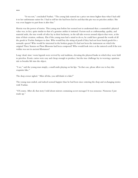"It was not," concluded Yuzhui. "The young lady named me a price ten times higher than what I had sold it to her unfortunate suitor for. I had to tell her she had been lied to and that this pin was no priceless artifact. She was even happier to part from it after that."

Herein was the power of stories. This young man before her seemed not to understand that a counterfeit's physical value was, in fact, quite similar to that of a genuine artifact it imitated. Factors such as craftsmanship, quality, and material aside, the true worth of relics lay in their backstory, in the tall tales woven around objects that were, at the time of their creation, ordinary. Else if the young man had a mind to do so, he could have ground the worth of all the goods in Yuehai Antiques to dust. Who would buy the string of pearls if they had not been burial goods for a nomadic queen? Who would be interested in the broken guqin if it had not been the instrument on which the original Three Stanzas on Plum Blossoms had been composed? Who would look twice at the tattered scroll if the text within was not in ancient Khotanese?

Long-dead, time-worn legends were revived by oral tradition, elevating the physical husks in which they were held to priceless. Exotic curios were easy and cheap enough to produce, but the true challenge lay in weaving a spurious tale to breathe life into the object.

"I see," said the young man simply, a small smile playing on his lips. "In that case, please allow me to buy this exquisite fake."

The shop owner sighed. "After all this, you still think it is fake?"

The young man smiled, and indeed seemed happier than he had been since entering the shop and exchanging stories with Yuzhui.

"Of course. After all, that story I told about mirrors containing secret messages? It was nonsense. Nonsense I just made up."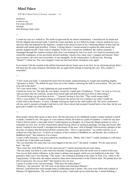# Mind Palace

 $ESF$  West Island School, Eyunni, Gayathri - 16

*Darkness. I want to run, Far away wherein Solitude. One blessing I may count.*

---

I closed my eyes as I walked in. The smell of agarwood hit me almost immediately. I stretched out my hands and felt the chipped and textured walls. I tasted the sweet and dusty air as it filled my lungs. I slowly opened my eyes, and once they had adjusted to the darkness, I looked at the mural in front of me. Fluttering ribbons of blue and red, adorned with simple gold jewellery. *Feitian.* A flying *Apsara*. I turned around to explore the other mural, but quickly stopped myself. I had a task to complete. In this cave I stored my childhood. My earliest moments. I rummaged through the contents trying to find what I was looking for, but to no avail. As I stood in frustration and cursed the inadequacy of my previously devised methods, I heard a low, deep voice. I stopped and listened. There was no source, the voice was everywhere. It was intangible. As the volume grew, so did my fear. Brewing. "Mama?" I called out. The voice stopped. I took one last look before closing my eyes again.

In an instant I felt the warmth of the old but functional electric heater next to my bed. As my shivering slowly died, I fell back into the same irritation I felt before this yet again futile attempt at entering the cave. Why couldn't I remember?

---

"I don't need your help." I snatched the book from his hands, underestimating its weight and stumbling slightly. "Ignorance is fickle." He shifted his gaze from me to the window, mirroring the shift in conversation. "Do you want to be left in the dark?"

"It's a new moon today." I said, tightening my grip around the book.

I turned my focus too. The dark sky was empty, except for a small spot of brightness. "Venus," he said, as if on cue. "did you know that she could fly, escape from mortal sight and shift her physical form to other beings?" "If a mortal being was given these powers…" I paused, turning to face him. "They could escape death."

"How's your mother?" he asked, looking as if he knew the answer but was waiting to see what I would say. A bird cried in the distance. *A raven*, I thought, placing my hand on the cold window sill. The raven continued to call out, until it seemed as though it had lost its will. Once silence had resumed I turned back to face him, but he was gone and I couldn't say when he had left.

---

Most people choose their house as their *locus*. But the obscurity of my childhood created a murky medium to dwell in doubt. I needed to see. The agony of a lost memory blocks all reason to a point of madness. I could not stay here. I had to find an outlet; a clear path where I could organise my thoughts. So I chose the Mogao grottoes or caves. I remember my first visit. At first I found them almost boring. Hours of staring at paintings, carvings and murals. But slowly I started to lose myself. I divulged into the beauty of the area. I felt as though I had received a glimpse of the diversity of cultures that had bestowed their creations here. "This is a special place." my mother told me, as we walked out of the final cave. "It shows us evidence of the evolution of Buddhist art, and thereby, the evolution of Buddhism itself." She looked as if in a trance.

I wasn't really listening. I was preoccupied by something else. "Mama, who's this?" I asked, pointing to a tall statue of which one of the hands was broken.

"Do you remember the statue that was cross-legged in the last cave?" she asked. I nodded. "It's the same person here." she said.

"How come they look different if it's the same person?" I asked, picturing the previous statue.

"The last statue was built at a time when the nomadic Xiongnu people from the north were in control of the area. You can see their artistic influence, as the statue is sitting cross-legged, which was not traditional at the time." She paused to make sure I was listening. "This statue," she continued, pointing to the statue in front of us, "dates to the Tang dynasty. At that time, the statues started to show more characteristics of the Chinese style. The plump faces are full of expression. Do you see that?" She turned to face me now.

I stared in wonder at her vast knowledge. "Who does the statue depict?"

"Maitreya," she answered. "He will come in the future and teach pure Dharma."

*Dharma.* I had heard that word enough times to understand what it meant. The caves were filled with symbols of Dharma. Of righteousness. The caves would be my place. I had made up my mind that day. I started building. I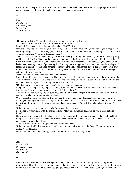started with *id* - the primitive and instinctual part which contained hidden memories. Then *superego* - the moral conscience. And finally *ego* - the realistic mediator between the other two.

---

*Rays. Not of hope, But of satisfaction, Simplicity, I start to doubt.*

---

"Oolong or Earl Grey?" I asked, dangling the two tea bags in front of his face.

"You need closure." he said, taking the Earl Grey from my hand.

I laughed. "Have you been reading up online about PTSD?" I joked.

He wore an expression of careful guilt. I shook my head. "How can I have PTSD, when nothing even happened?" He shrugged again. "You're the only person that isn't convinced." He looked at me challengingly. "And how come you don't remember? You never forget anything."

That was true. I had, as people would say, an "eidetic memory". Photographic even. My brain had a one way entry, nothing ever left it. But I had closed that gateway. We both sat in silence for a few minutes while he steeped the Earl Grey, reminiscing about those young years when I would do memory tricks for fun, harnessing the talents of my brain that others only dreamt of possessing. But those days were long gone. It was like I had closed that chapter. I looked up at the old wooden clock hanging solemnly on the wall. I hated those devious hands, which would only move in one direction. *The arrow of time.* In space you could move backwards and anti-clockwise, to undo your actions. In time you couldn't.

"Maybe it's time to visit your caves again." he whispered.

I poured myself a cup of tea. I took a sip. The bitter-sweetness of bergamot coated my tongue, the warmth trickling down my throat. I felt the ice that had frozen my mind slowly melt. "Too much sugar." I said finally, as he always sweetened his tea. "I prefer the Oolong. It's a tea fit for an empress."

"Did the empress have a good memory too?" He wasn't going to give up.

I laughed a little and placed my cup on the table, trying not to make a sound as the delicate porcelain touched the fragile glass. "I can't get into the caves." I sighed. "I forgot how."

This was a lie. I had actually already gone once, but only to one cave for just a few minutes, and I didn't want to feed his idea about my supposed mental illness.

"What about the book?" He tilted his head towards the windowsill, where the huge book waited to be opened. I shrugged, tugging at the strings of my jacket to tighten the hood. A brisk, icy wind had filled the room. I could hear the rustling of the leaves on the chrysanthemum plants in the balcony. "Why did you plant chrysanthemums?" I asked.

"I don't know," he said unenthusiastically. "they looked nice I guess."

I could see he was irritated with the change in topic. "They're a symbol of death you know." I looked at him intently.

He frowned at my statement, but looked anxious for me to answer his previous question. I didn't really feel bad though. I wasn't in the mood to have this predictable conversation. "You could grow lilac ones." I said, walking precariously towards the balcony.

"Answer my question." he said, growing increasingly impatient.

"I don't know." I said, picking up a yellow chrysanthemum that had fallen on the floor. "I'm going to visit my mother." I said finally.

He frowned but didn't say anything, and as I left the room, I wondered why he didn't.

---

*How In this world, Of imperfections, Unforgiving. Can I stand?*

---

I remember the day vividly. I was sitting on the cold, stone floor of our humble living room, reading *Great Expectations.* I had already read it before. I was reading it again not out of interest, but out of boredom. I felt a sense of comfort in the fact that I knew what was going to happen. My mother walked in after coming back from work. It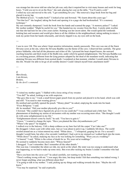was strange but she never told me what her job was; only that it required her to visit many houses and work for long hours. "I told you not to sit on the floor," she said, placing her coat on the table, "You'll catch a cold." I rolled my eyes and moved to the sofa. "I got something for you." She removed a large book from her bag and placed it on my lap.

*The Method of Loci.* "A maths book?" I looked at her and frowned. "We learnt about this years ago." "Not that loci!" she laughed, taking the book and opening it to a page she had bookmarked. "It's a memory technique."

My ears instantly sharpened. I took the book from her hands and scanned the page. "A memory palace?" I asked. My mother nodded. "Might be useful for you." She handed me my sweater from the floor. A pretty pink woollen one that she had knit for me a few years earlier. Knitting was her secret talent. She would spend the weekends knitting hats and sweaters and would give them to all the children in the neighbourhood, taking nothing in return. I took my jacket from her hands reluctantly, and slowly slipped it on, my eyes still on the book.

---

I was in cave 158. This was where I kept sensitive information, mainly passwords. This cave was one of the finest *Nirvana* caves at the site, where the *Nirvana Buddha* was the theme of the cave. I observed him carefully. The great prince Siddartha, who had all the pleasures and riches of life. I pictured the heart shaped leaves, the outward reaching branches and thick trunk of the Bodhi tree, under which he gained enlightenment. The Nirvana Buddha was in a reclining posture, different from the lying posture adopted by the dead of the mundane world, indicating that attaining Nirvana was different from normal death. I wondered at that moment, whether I would attain Nirvana in this life. Would I be able to let go of all worldly desires? Could I detach myself from attachment itself?

---

*If Mercilessly, I am thrown, Broken, By the devil's command.*

---

"I visited my mother again." I fiddled with a loose string of my sweater.

"You did?" he asked, looking at me with suspicion.

"She gave this to me." I took a small brown paper pouch from my pocket and placed it in his hand, which was cold and stiff. "You need to start wearing gloves."

He smirked and carefully opened the pouch. "Money plant?" he asked, emptying the seeds into his hand. "*Ficus Religiosa*." I said.

Ah. he mouthed. "Did your mother physically give this to you?"

I frowned. "She couldn't have figuratively given it to me could she?" I was confused and a little hurt. This phenomenon of doubting my stories of encounters with my mother was occurring more often. "She thought I could do with some enlightenment in my life."

"Enlightenment doesn't come by itself," he said. "You have to gain it."

"I know." I wanted to change the topic. "Have you planted the lilac chrysanthemums yet?"

"Where's the space?" he laughed.

I walked over to the balcony. I felt a sharp coldness as my bare feet left the carpet "Can I take one?" He shrugged. I chose a pot with white ones. Just as I was about to pick it up, I suddenly felt dizzy. The world swirled around me as a vision entered my mind. "White dress…" I whispered, gasping for air. For a second I thought I would faint, but after a few seconds I stabilised. I had a pit in my stomach as I walked back into the room. "White dress?" he asked, studying my face as he was looking for something. "Were you at a wedding?"

"A funeral." I said. "White is the colour of death for us. We wear red at weddings."

He seemed to suddenly become more alert. "Whose funeral?"

I shrugged. "I can't remember. But I remember all the other details."

This was true. I remember the silent car ride, my uncle at the wheel. My sister was too young to understand what was happening, so we had to make up some story. But even after racking my brains I couldn't remember who had died.

"Have you been into the caves yet?" he asked carefully, not wanting to tip the boat.

"There's nothing wrong with me." I was angry this time, but deep inside I felt that something was indeed wrong. I never forgot anything, what was different about this?

"I'm going to talk to my mother." I said, picking up my things and walking towards the door. "Maybe she will know."

"You may be surprised," he said cryptically.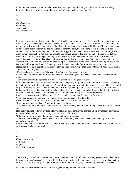In the moment I was too preoccupied to react. But that night it kept haunting me like a stalker that was always lurking in the shadows. Why would I be surprised? What did he know that I didn't?

---

*Tears. Not of sadness, Of fatigue, Abandoned. My search decays.*

---

I closed my eyes again. Slowly I entered the cave I had been reluctant to enter. Beads of cold sweat appeared on my forehead, my knees shaking slightly as I opened my eyes. I didn't want to come to this cave because I had lost my memory of it. It was as if a chunk of my palace had collapsed and now it was a void. I knew of its existence but not of its contents. Many times in the past I had tried to enter this cave, but something would stop me. As I looked around, I tried to find something that could possibly trigger my memory. The first three walls had paintings that didn't stir any recollection. Just as I was about to lose hope, I turned to the last wall and… there. I looked at the statue in front of me, cross-legged, intelligent and peaceful, and remembered my mothers explanation many years ago. This was the last cave I had visited with my mother. *Maitreya. He will come in the future and teach pure Dharma.* Suddenly the floodgates of my memory opened. This is the cave where I stored everything related to her. But why had I forgotten about it? Suddenly in the shadows I noticed a figure slowly walking towards me. I recognised the long, straight hair, the small stature and the distinctive pointed nose. "Mama?" I stood in confusion. "What are you doing here?"

"I've been here for many years," she said softly. "And you've been visiting me."

I stood in bewilderment. The reality of my world had just disintegrated into chaos. "Do you not remember?" she asked.

The words were already ingrained in my head. "I came here looking for answers."

In that moment it occurred to me that I couldn't have completely forgotten some memories, there was a reason my instinct brought me to this particular cave. A part of me must have held onto the memory. Entropy. The chaos could only increase, not decrease. I realised now that it was always there, just lost in the maze of the caves. But it was broken into fragments that were waiting to be put back together. I looked around and watched as the pieces slowly assembled. *The white dress.* Now I remembered. "Did you plant the fig tree?" my mother asked.

I nodded but was distracted. "How come I don't remember coming here?" I asked in frustration.

"You were living in the moment." my mother answered, her eyes soft and gentle.

It was as if the frustration that radiated from me melted as it touched my mother.

"I was living a lie." I seethed. "Why didn't you ever tell me?"

"You weren't living a lie." she walked closer to me and placed my hand in hers. "You just hadn't accepted the truth yet."

Hot, angry tears rolled down my face. Slowly, that anger turned into sweet sadness. I held my mother, not wanting to let go. "Maitreya." she said once my tears had seized. "He is here."

"I thought he would come in the future." I said, looking up at the statue.

"These are *your* caves, *your* locus." She put a warm hand on my tear stained cheek. "The higher power exists eternally in our minds."

I must have fallen asleep in my mother's arms. When I woke up I found myself back in the comfort of my bedroom, with a raven feather in my hand.

---

*One. Element of surprise, To lighten, Brighten, These tedious days.*

---

That evening I visited the memorial hall. I wore the same white dress I had worn twenty years ago. As I knelt down, I closed my eyes. *Samsara.* The cycle of birth, death and rebirth. To free our souls from this cycle we had to attain Nirvana. I spoke to Maitreya that day. He sat in front of me, cross-legged, and suddenly my doubts dissolved.

Instead of white chrysanthemums, I offered fig leaves. My mother had attained Nirvana.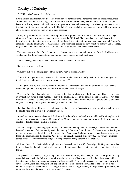# Cruelty of Curiosity

#### ESF West Island School, Lee, Claire  $-16$

Ever since she could remember, it became a tradition for her father to tell her stories from his audacious journeys around the world, and, specifically, China. It was his favourite place to visit, he said, one warm summer night, because her history was so rich, with numerous mysteries in the timeline waiting to be solved by someone, waiting for their story to be spread around the world. Her father's favourite hobby, she observed, was to babble to everybody about historical narratives, from topics of their choosing.

 At night, by her lamp's soft yellow ambient glow, a rather popular bedtime conversation was about the Mogao Grottoes in Dunhuang, on the ancient caravan routes of the Silk Road. She remembered his modulated voice, informing her that its initial purpose was to link Buddhist shrines; other stories also mentioned the monk Yuezun's ambition to build a community for many monks. He'd been there, during the early twentieth century, and described, in great detail, about the endless waves of art waiting to be unearthed by the observer's eyes.

 There were many artefacts from the grottoes he showed her. A scroll, containing stories from the Jin Dynasty, a window into life during ancient times, and multiple books binded by bamboo strings.

"Babi," she began one night. "Babi" was a nickname she used for her father.

Babi's black eyes perked up.

"Could you show me some pictures of the caves? I want to see for myself."

 "Poppy, I know you're eager," he smiled, "but wouldn't it be better to actually see it, in person, where you can touch the rocks and immerse yourself in the environment?"

 Although she had no idea what he meant by smelling the "immerse yourself in the environment", ten year old Poppy thought that it was a great idea, and since then, she never asked again.

 What intrigued the father and daughter duo was the fact that the shrines were built into caves. However far it was dug would only reveal a small number of secrets the caves held, deep in the core of the rock. The Mogao Grottoes were always deemed a sacred place to connect to the Buddha. Did the original creators dig more tunnels, to house enigmatic secrets galore, to protect knowledge limited to only a few?

 Babi had planted a seed for curiosity in Poppy, a seed of everlasting curiosity to see the caves for herself, to truly be able to stand and marvel at the wonder in person.

 A touch more than a decade later, with the Jin scroll held tightly in her hand, she found herself straining her neck, staring up at the decorated stone wall in front of her. Mouth agape, she stepped into the cave, finally witnessing this spectacle, this storyboard with her own eyes.

 Red, blue, turquoise, and orange paint faintly skimmed over the rough texture of rocks, the very same texture that breathed a breath of life into these figures in the drawing. What were the sculptures of? She recalled babi telling her that the statues were sculpted after the likenesses of the Buddha and Bodhisattva statues; paintings of apsaras and those who commissioned the painting. *What a great honour,* she thought, *to be inscribed into history with these sacred handiwork that marked the zeitgeist of the flourishing era of worship in the grottoes.* 

With each breath that she inhaled through her nose, she was hit with a whiff of nostalgia, thinking about what her father said and finally understanding what babi meant by immersing herself in the tranquil surroundings, living in the now.

 It happened to just be her, a single young woman, in the current cave; other rowdy tourists were eagerly clicking away their cameras in the following cave. (It wouldn't be wrong of her to suppose that their flash was on either, from the tour guide's cries each time the camera flash went off.) Poppy could inspect every nook and cranny of the cave: each wall, each sculpture, each lick of paint. She'd consume as much knowledge as she could from her childhood imaginary Neverland. It was a jungle of discoveries waiting for Poppy. Perhaps a secret passageway into fantasyland that would transport her into the past? Ha. Never.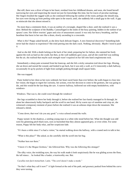But still, there was a sliver of hope in her heart, residual from her childhood dreams, and soon, she found herself narrowing her eyes and inspecting the mural not just for knowledge this time, but for traces of peculiar markings. Her fingers brushed the rugged walls as she continued following the outline of the room; perhaps she should stop, her eyes were drying up from peeling wide open in the search, until, she suddenly felt a small gap in the wall. A gap so miniscule that she almost missed it.

 No more than a centimetre thick, it was an outline of a rectangle, shaped like a door, until she realised it *was* a door. Behind the sculpture of the Buddha. Camouflaged in the midst of the busy painting, hidden in the outline of an apsara's arm. Her fellow tourists' gapes and cries of amazement ceased: it was only her heavy breathing, and her heartbeat that burst in her ears like a drum, slowly ascending in a crescendo.

 *What is this?* Poppy asked herself, as she drew back delicate fingers. A new historical discovery? Something babi never had the chance to experience? She tried peering into the dark crack. Nothing, obviously. *Maybe I need to push it*.

 And so she did. With a doubt lurking at the back of her mind, preparing her for failure, she rammed her body against the rock as hard as she could, but then, as the wall suddenly gave away, and all she could feel was nothing but the air, she realised that maybe such strength wasn't required on her fall onto hard conglomerate rock.

 Immediately a sharp pain screamed from her kneecap, and she felt a sticky sensation trail down her legs. Hissing, she sat down and nursed the wound, and looked to go back, but it was only a wall, as if it innocently a dark hallway, occasionally lit up by pockets of light from sunlight peeking through small square holes.

She was trapped.

 Panic boiled in her chest as her eyes widened, her heart raced faster than ever before; the walls began to close into her vision; she began to regret her curiosity, her actions, even her decision to come to the grottoes, she was going to die, and this would be the last thing she saw. A narrow hallway, hollowed out with empty bookshelves, with windows-

Windows. That was it, she could crawl through the windows!

 Her legs scrambled to shove her body through it, before she realised her face barely managed to fit through, let alone her obnoxiously bulky backpack and the scroll in one hand. Hit by warm rays of sunshine and crisp air, she witnessed a temporary moment of peace before she realised it was an arduous slope down the mountain. She released a shriek.

"Come down, that won't do you any good." a voice echoed around the walls.

 Poppy turned. In the shadows, a smiling young man in a white robe stood before her. What she thought was odd were his glistening pitch black eyes, eyes so burnished that they almost appeared grey, or even white. For some reason, Poppy felt her body relax, and her scepticism fade.

"It's been a while since I've had a visitor," he started walking down the hallway, with a craned neck to talk to her.

"What is this place?" She asked, as she carefully slid the scroll into her bag.

"Neither here nor there."

"I know it's the Mogao Grottoes," she followed him. Why was she following this stranger?

 The silky voice, the twinkling eyes, the way his walk made it look suspiciously like he was gliding across the floor, the tall stance… he looked like a leader, a trustworthy one. But.

 *Cucullus non facit monachum*. Latin. "The cowl doesn't make a monk."

 "So that's what they call it now?" A light formed at the end of the path, and greenery peeked from behind the curve they were turning.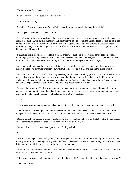"Not to be rude, but who are you?"

"Zun. And you are?" his eyes drifted to inspect her face.

"Poppy, Poppy Wang."

"Ah. I see. Pleasure to meet you, Poppy. Perhaps you'll be able to find shelter here, for a while."

He stepped aside into the shade once more.

 "Here" was a thrilling view, perhaps in the heart of the collection of rocks; a towering cave, held captive under the glare of the sunlight, the cave so monstrous in height that the tip was reduced to a small dot as she looked up. Birds chirped in harmony to the roar of the waterfall that battled against the conglomerate rocks as sheets of water ceaselessly plunged from the heights. Ecosystems of lush vegetation and animals alike lived in tranquillity as this hidden utopia blossomed.

 She smiled under the kaleidoscope effect from the shadow of the bodhi tree, brushing across each fig with her index finger, and inhaling the sweet, fruity smell, and when she pivoted on her heel, she nearly smashed her face into Zun's. With a hitched breath, she sprung back, and narrowed her eyes at Zun's blank eyes.

 All traces of glimmer and light were gone. Mist from the waterfall insidiously weaved into the atmosphere and slowly clouded over anything two metres away from Poppy— it was just her and Zun in this cloud of mist.

 He stood oddly still. Staring at her, but not processing her existence. Mouth agape, but sound diminished. Washes of grey slowly swam through the impotent white, and his skin turned a ghastly pallid shade, highlighting the skeleton that Poppy was oddly oblivious to in the beginning. The birds halted their songs, the figs' scent retreated, and chills creeped through Poppy, from head to toe. She gripped her backpack strap.

 It wasn't Zun anymore. The lively and airy aura of a young man was long gone; instead, this decrepit creature craned its neck to one side, and blinked as though a great moment of revelation sparked in it. Its remarkably saggy skin was draped in an ashy orange robe that looked far too big for the frame.

"You."

The whisper reverberated across the hall as Zun's frail pasty lips barely managed to move to utter the word.

 Populous streaks of incomplete thoughts congested Poppy's mind: should she make a dash for the door? Then an image of the sealed wall popped into her mind, and she thought about hiding somewhere. Behind the waterfall?

 But she never had a chance to properly contemplate, nor react. Although he was drifting above the ground, sounds of footsteps slowly echoed towards her, his dead eyes fixated on his target.

"You did this to me," skeletal hands gestured to a frail, grey body.

"I-"

 As each of his steps walked closer, Poppy's heartbeat grew louder. She tried to move her legs, to run, somewhere, to escape from Zun, but her legs were glued to the floor, and refused to move, and even if they did barely manage to lift a micrometre, it felt like they weighed a thousand kilograms.

 Her only option of freedom from the walking zombie in front of her was to squeeze shut her eyes, but even then, it didn't block out the thunderous screech.

"If it wasn't for your grandfather, or your father, the place wouldn't be like this. The empty bookshelves you saw?"

*Stop, stop it, stop!*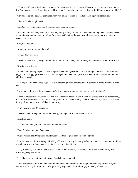"Your grandfather stole all our knowledge. Our treasures. Raided the area. He wasn't meant to come here, but he just *had* to nose around, him, his son, and his team of high and mighty archaeologists. I told him to stop. He didn't."

"It was a long time ago," he continued, "but you, as his reckless descendant, should pay his reparation."

Silence sliced through the air.

*Cucullus non facit monachum*. A creature impersonating a monk.

 And suddenly, fueled by fear and adrenaline, Poppy blindly sprinted to nowhere in the fog, feeling her leg muscles scream in pain as they began to tighten from lactic acid, before she saw the outline of a set of narrow staircases carved into the rocks.

One, two, one, two…

A turn. Another turn around the pillar.

*C'mon, don't stop now*.

She could see the fuzzy bright outline of the sun, just cloaked by clouds. One jump and she'd be out of this mist!

One, two, one, two…

 A cold hand tightly grasped her arm and pushed her taut against the wall, slamming the back of her head into the jagged rocks. Poppy grimaced and screwed her eyes shut once more, just so she wouldn't have to stare into those chilling eyes again.

 "Naive girl," the shrill voice laughed, "your father might have escaped, but I'll personally see to it that you'll stay here."

"Now, stay still, or else I might *accidentally* drop you down this very tall ledge. Gosh, it's high."

 Dread and resentment towards her father rushed through her body. She blamed his stories that irked her curiosity, the artefacts he showed her, and his encouragement for her to visit the grottoes, to discover mysteries. Was it worth it, to go through this, just to tell her father a story?

*You're going to die. Do something!* 

She screamed for help until her throat ran dry, hoping that someone would hear her.

It cackled again.

"No one will hear you, not with these tunnels anyways."

*Tunnels. More than one. I can make it.* 

"Get," with all the strength she could muster, she tried to push the bony arm, "*off* me!"

 Despite stray pebbles scattering and falling off the dangerously delicate platform, the monster's mouth twisted into a toothy grin, where Poppy could count every single pointed tooth.

 "No," it pouted, "I'm afraid I can't, because you and your father, *Miss Wang*, " he poked her shoulder, "have something very dear to me."

"I-I- I haven't got anything that's yours." A shaky voice replied.

 The creature stood there and pondered for a moment, an opportunity for Poppy to tear its grip off her arm, and continue to dart up the steps, up to a large landing, right under the sunlight gap at the top of the cave.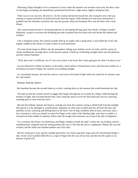Wheezing, Poppy thought it to be a moment of victory when the monster was nowhere to be seen, but then a trail of mist began ascending, she immediately positioned herself into a fight stance, tightly curling her fists.

 There was no way out now, she knew it. As the creature advanced towards her, she swung her arm at the jaw, causing it to groan and throw its head backwards from the impact. With slanted eyes and arms outstretched, it grabbed onto her shoulders and threw her onto the ground, where the backpack flew onto the floor with a loud *thump*.

 The creature pounced onto it, slicing through the air and ripping the bag apart into shreds, as Poppy watched helplessly, trying to overcome the throbbing pain that screamed from her head with each breath she inhaled and exhaled.

 Like a champion runner, the creature proudly held up its trophy with a smug smile, it unravelled the scroll, and happily nodded at the stream of words written on each parchment.

 The mist slowly began to diffuse into the atmosphere, hiding away behind a series of rocks, and the curtain of clouds shielding the sun high above in the heavens parted. A bold ray of blinding sunlight shone onto the platform, and the creature hummed.

"Well, that wasn't so difficult, was it? Just a bit of pain in the head. But I must apologise for what I'm about to do."

 Its eyes flickered to shelter of shadow in the murky corner before it flicked back to her, and from that foolish act, a revelation occurred to Poppy: the creature was avoiding sunlight.

 In a nonchalant manner, she used her arms to crawl next to the band of light while she waited for its advance onto her, and waited.

#### *Badump. Badump. Badum-*

Her heartbeat became the seconds hand on a clock, counting down to the moment that would determine her fate.

 The split second the creature sliced its dagger-like fingers through the air towards her, Poppy rolled through the territory of light, and cocooned herself into a ball, using her arms to cover her dear head and wait for a piercing, numbing pain to come from the claws.

 But she felt nothing. Instead, she heard a cracking roar from the creature, trying to shield itself from the sunlight that placed it in the spotlight of a predicament. Segments of white skin crackled and tore off from the host, like sprinkles of ash, scattering and drifting down to the floor. First its legs crumbled, then its torso, and soon, only a face remained as wide eyes darted in search for Poppy in the midst of the blinding light, and when it couldn't, it released one final rumble of catharsis, before only the orange robe remained, sat on top of the pile of fragments.

 For a moment, the silence was deafening, and Poppy exhaled a breath she didn't realise she was holding, and her trembling body collapsed from the sitting position she was in. Was this the end to a nightmare? Maybe she was still at home, and her father just finished another one of his tales.

 But the clouds gave away and the sunlight graced the cave; birds sang their songs and soft wind brushed Poppy's skin. Sweet scent of pollen filled the air, a sign to Poppy that this was all too real, and that she fell captive to an illusion of good will.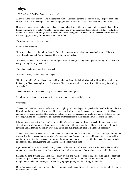# Abyss

Kellett School, Beskhmelnitskaya, Anna - 16

A low chanting filled the cave. The melodic recitation of Pancasila echoing around the dimly-lit space seemed to charge the air and almost rejuvenate Shen, bringing him out of the trance-like state he was now constantly in.

He coughed, once, twice, and the atmosphere seemed to break and slither apart as the other monks looked at him before continuing the ritual in Pali. He coughed again, now trying to smother his coughing. It did not work. It only seemed to get worse. Bringing a hand to his mouth and silencing himself, Shen abruptly excused himself from the session, staggering away on red-locked and painful feet.

The other monk's eyes followed him.

- Shen's hands trembled.

"I am sorry, there is really nothing I can do," the village doctor muttered out, not meeting his gaze. "I have seen your illness before and I've tried curing it but nothing ever worked."

"I expected as much." Shen drew his trembling hands to his chest, clasping them together into tight fists. "Is there really nothing? No way to slow it?"

The village doctor only shook his head sadly.

"Is there, at least, a way to alleviate the pain?"

"No, I━ I should go," the village doctor said, standing up from his chair picking up his things. He then stilled and looked up at Shen, meeting his eyes. "I am sorry, Shen. I am sorry it has come to this and I am sorry I can't help you, truly."

The doctor then briskly made his way out, not even once looking back.

Shen brought his hands up to wipe the freezing tears that had gathered in his eyes.

"Why me?"

-

Shen couldn't breathe. It was hours later and his coughing had started again; it ripped and tore at his throat and made him spit out dark-red and yellow mucus. He hated it, with all his being. It impacted every part of his life, his days and nights - he could not attend the teachings and rituals like before, scared he would ruin and break them; he could not sleep, waking up each night due to a burning fire that seemed to incinerate and smolder under his flesh.

It hurt to move, to speak and to breathe. He hated it. Whispers seemed to follow him as children ran away at the sight of his now disfigured and discoloured body. Shen did not blame them; he could not bear to look at himself anymore and he thanked his rapidly worsening vision that prevented him from doing that, albeit bitterly.

Shen was not scared of death. He knew he would be reborn and that his soul would find rest at some point or another - he saw his illness as another test or trial before the inevitable Samsara. He prepared himself for his approaching demise, knowing that there was no cure for his illness and that hope was useless. Still, he attended as many rituals and sessions as he could, praying and chanting wholeheartedly each time.

-

It got worse with time. Now, months or days later - he did not know - his vision was mostly gone and he stumbled around on ulcer-ridden feet, trying desperately to cling to his last dredges of normality as he prayed in the caves.

Shen felt his time drawing near. His bones, with every step and twitch, seemed to cry out, sending jolts of pain that seemed to rip apart Shen's heart - he knew that soon he would not be able to move anymore. He was determined though, he wanted to pass away peacefully during a prayer, giving his life willingly for Buddha.

During prayers now, he barely mumbled out Pali, mouth swollen and bitten red. Shen persevered though - he had to be faithful until the end.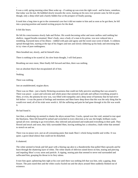It was a cold, spring morning when Shen woke up - if waking up was even the right word - and he knew, somehow, that today was his last. He hobbled slowly towards the caves, leaning on his now ever present cane; he felt no pain though, only a deep relief and a barely hidden fear at the prospect of finally passing.

It took him a long time to get to the ceremonial cave but it did not matter to him and as soon as he got there, he fell into a praying position and started reciting prayers for the dead.

It felt like hours.

-

He felt his consciousness slowly fade and flicker. His words becoming softer and more mellow until nothing but shallow, ragged breaths remained. Shen's body, once a body of a man in his prime, was now reduced into a trembling, fractured mess of his illness - riddled with pain and agony and the sweet-sour scent of death. A coldness spread through him, starting at the tips of his fingers and toes and slowly slithering up his body and entwining him in icy vines of pure nothingness.

Shen breathed out, slowly, and let himself relax.

There is nothing to be scared of, his slow brain thought, I will find peace.

Breathing out once more, Shen finally fell forward and then, there was nothing.

Just an absolute black that encapsulated all of him.

Nothing.

-

There was nothing.

Just an unadulterated, stygian abyss.

There was no Shen - just a barely flickering awareness that could not fully perceive anything that was around it. There was peace - a pure and welcome and whole peace that seemed to pervade and suffuse everything around it. Shen, or even, the pneuma he now was, was filled with tranquility and a deep sense of harmony that he had never felt before - it was the purest of feelings and emotions and Shen knew deep down that this was the only thing that he would ever need; all of his trials were worth it. All the suffering and pain he had gone through in his life was worth it.

He had found it.

Just then, a deafening rip seemed to shatter the abyss around him. Cracks, spread over the void, seemed to tear apart the blackness. Shen felt himself be jerked and wrenched in every direction as he saw the bright, brilliant cracks spread all over; seeming to go everywhere, they infected and poisoned and eradicated everything in their path. They flowed and struck and soon, they fully surrounded Shen, leaving nothing but a colourless, chalk-white that seemed to stretch on and on.

There was no peace now, just an all consuming panic that made Shen's whole being tremble and writhe. It was quiet; a grave-dead silence that could not be disturbed.

It shattered.

The white seemed to break and fall apart with a blaring zap akin to a thunderstrike that pulled Shen upwards and he burst through the shattering layer of white. The white shards of oblivion rained down on him, tearing and piercing and impaling Shen's every atom and particle. A ripping, searing pain that seemed to never end surrounded and suffocated him, grasping his throat in its fiery talons.

It tore him apart; splintering him right at his core until there was nothing left that was him, only a gaping, deep fissure. The pain eased then and the white cracks fizzled out and the abyss around Shen suddenly blinked out of existence.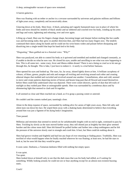A deep, unimaginable vacuum of space now remained.

A barren galactica.

Shen was floating with no tether or anchor in a crevasse surrounded by universes and galaxies millions and billions of light-years away, completely and inconceivably alone.

Glancing down at his body, Shen froze. A black, pulsating and vaguely humanoid mass was in place of where his limbs and torso should be; tendrils of black smoke and tar slithered and crawled over his body, winding up his arms and legs and waist, tightening and releasing, over and over again.

Lifting up a hand, Shen saw his fingers change shape, becoming longer and sharper before melting like hot candle wax and becoming stubs; they grew in another direction then, and Shen had too many fingers now. The tendrils continued their dance along his hands and he could see his wrist bones widen and pulsate before dissipating and dissolving into a single tendril that kept his hand tied to his body.

"Disgusting," Shen garbled out in a frenzied voice. "Why?"

Shen was paralyzed, not able to control his body as it quivered and trembled and molded and changed constantly, as if unable to decide on what he now was. He closed his eyes, unable and unwilling to see what was now happening to him. This is all some test - some crazy, fever and illness-ridden dream? There is not a being so cruel as to let one go through this, he thought. This is fake, I just have to endure it - it surely is a trial before Samsara.

Shen opened his eyes and looked up. The stars, far, far away, shined lightly down at him. A brilliant cacophony of colours, of blues, greens, purples and reds and oranges all twirling and revolving around each other and creating ethereal shapes that molded and swiveled and revolved around one another. Constellations, alien and cold, seemed to move and create patterns depicting stories of heroes and beasts long past that all flowed and erased themselves before Shen could fully understand what was depicted. There were comet showers, specks of dust that left trails of starlight as they rushed past Shen at unimaginable speeds. Shen was surrounded by a tenebrous abyss and by shimmering light that seemed to clash and fit together.

It all seemed so close and Shen reached out a hand, as if to grasp a passing comet or asteroid.

He couldn't and the comets rushed past, tauntingly close.

Alone in the deep expanse of space, surrounded by nothing alive for aeons of light years away, Shen felt salty and silent tears run down his face. He wiped them away with a shaking hand, determined to believe that everything around him was just a figment of his dying body's imagination.

Time passed.

-

Millenias and eternities that seemed to stretch on for unfathomable lengths with no end in sight, continued to pass by Shen. Trickling by slowly as the stars moved further away; they still shined just as brightly but their glow seemed harsher and the colour more dull. Shen felt himself be pulled further and further into a deep nothingness and he felt the pressure of the universe slowly start to strangle and crush him. It hurt, but Shen could do nothing about it.

Shen had grown virulent and frightful and had lost any hope of ever returning or finding peace. Truthfully, Shen was terrified of what would happen when he finally reached wherever he was floating; at least now, he had the stars to look at, but he soon felt that they would be gone.

It soon came. Darkness, a Tartarean darkness filled with nothing but empty space.

It was quiet.

Too quiet.

Shen looked down at himself only to see that the dark mass that was his body had stilled, as if waiting for something. Wildly looking around, he could not see or hear anything except for an almost non-existent buzzing static.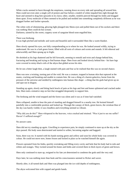White cracks seemed to burst through the emptiness, running down on every side and spreading all around him. Shen could not even utter a single yell of protest and fear before a tendril of white impaled him right through the heart and seemed to drag him upwards in its claws; other, smaller, tendrils pierced through his limbs and dragged them apart. Every molecule of Shen seemed to be pulled and molded into something completely different as he was dragged further and further upwards.

The white coils of shimmering, glowing light plunged into Shens eyes and pulled them out of his sockets and there was nothing Shen could do but scream.

Darkness, tainted by the sweet, coppery scent of sanguine blood soon engulfed him.

There was birdsong.

-

It was high-pitched and melodic and warm and beautiful and it surrounded Shen like a warm blanket.

Shen slowly opened his eyes, not fully comprehending as to where he was. He looked around wildly, trying to understand. He was in a lush green forest, filled with all sorts of colours and scents and sounds. It felt ethereal and otherworldly and Shen sprang up in fright.

He shrieked as his legs shattered and he fell forwards, seeming to remold and twist and change behind him, fracturing and breaking and trying to find human shape. Shen froze and looked slowly behind him - his bare legs were covered in misty-black coils of the abyss that glided across his skin.

He let out a bitter laugh then, a laugh stained with pain and fear as he realised that this was no second chance.

Shen was now a twisting, turning part of the void. He was a creature, trapped in human skin that ruptured at the seams, cracking and breaking and unable to contain him. He was a thing of a barren galactica, borne from the pressure of the universe and molded by nothingness into human-like shape - a thing that the gods had given up on and spat out in disgust.

Standing up again, slowly and biting back howls of pain as his legs and feet and bones splintered and cracked under him, Shen took a tentative step on feet that struggled desperately to support him.

The birdsong and the wind stopped and the forest was silent and it was as if time had vanished.

Shen collapsed, unable to bear the pain of standing and dragged himself to a nearby tree. He hoisted himself painfully into a comfortable position and looked up. Through the canopy of thick, green leaves, the cerulean blue of the sky was barely visible; it was cloudless and everything seemed so vibrant.

"Why did you do this?" Shen whispered to the heavens, voice cracked and strained. "Was it just to see me suffer? Haven't I suffered enough?"

## No answer came.

-

Shen did not try standing up again. Unwilling to experience pain, he simply continued to stare up at the sky as the days passed. His body soon deteriorated and started to wither, becoming angular and haggard.

Soon, there was rot. It started with his hands turning green and yellow and soon his whole body was covered in colour. He could not move now, bones frozen and locked in place as he watched himself die again.

Flowers sprouted from his limbs, quickly overtaking and filling every cavity and hole that his body had in reds and whites and oranges. They twisted around his bones and limbs and covered them in thick layers of green and brown.

Shen only continued to stare up, resigned to his fate yet determined to condemn the gods until the very end.

Days later, he was nothing more than husk and his consciousness seemed to flicker and waver.

Shortly after, it all turned dark and Shen was plunged into the ice-cold depths of nothingness.

The abyss welcomed him with cupped and gentle hands.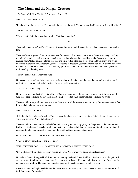# The Monk and the Mogao Grottoes

Po Leung Kuk Choi Kai Yau School, Lam, Errin - 17

*WHAT IS YOUR PURPOSE?*

"I had a vision of these caves," The monk laid a hand on the wall. "Of a thousand Buddhas swathed in golden light."

#### *THERE IS NO BUDDHA HERE.*

"There is not." Said the monk thoughtfully. "But there could be."

The monk's name was Yue Zun. *Yue* meant joy, and *Zun* meant nobility, and the cave had never seen a human like him.

~

The travellers that passed through were few and far between. The cave gave them the shelter they sought, tucking them into its nooks, standing resolutely against the lashing winds and the seething sands. Because what was a passing storm? It had calmly watched seas rise and skies fall and the land freeze over and burn anew, and it was unscathed but for the slow weathering away of the stone. A thousand years and more it had stood, patiently allowing the wind to scrape and scratch and slice with tiny grains of sand that threw themselves over and over against the rock, steadily hollowing it out.

The cave did not mind. That was nature.

Humans did not stay long. Most simply wanted a shelter for the night, and the cave did not fault them for that. It understood the primal, animalistic instinct for survival. It was practical.

Yue Zun's decision to stay was not.

He was a devout Buddhist. Over his yellow *zhiduo*, which pooled on the ground now as he knelt, he wore a dark *kesa* that wrapped around his left shoulder. A string of wooden *mala* beads was looped around his wrist.

The cave did not expect him to be there when the sun warmed the stone the next morning. But he was awake at first light, and already moving with purpose.

## *WHAT ARE YOU DOING?*

"I shall make this a place of worship. This is a beautiful place, and there is beauty in faith." The monk was mixing water into dry dyes. "Have faith, friend."

The cave did not move, but the sands shifted in its wake, grains swirling gently on the ground. It did not consider itself a beautiful place; it was but a splotch of slate grey against a dull, barren landscape. It understood the state of existing. It understood the real, the material, the tangible. It did not understand faith.

## *GO HOME, CHILD. THERE IS NOTHING FOR YOU HERE.*

"There is always something if one is looking."

## *YOU SEEK YOUR GOD. YOU CANNOT FIND A GOD IN AN EMPTY STONE CAVE.*

"My God is anywhere I look for Him," replied Yue Zun. "He is wherever I pass on His teachings."

Hours later the monk stepped back from the wall, setting the brush down. Buddha smiled down now, the paint still wet as the Yue Zun brought his hands together in prayer, the beads of his *mala* slipping between his fingers one by one in a steady rhythm. The cave was soundless save for the gentle scrape of wood over skin.

It was a hundred and eight beads before the monk opened his eyes again. The cave waited, not out of any sense of faith, but respect for the ritual.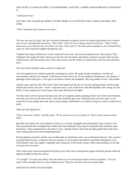## *THAT IS BUT A LAYER OF PAINT. IT IS EPHEMERAL. FLEETING. A MERE SANDSTORM WILL EVISCERATE IT.*

"I shall paint more."

## YOU WILL NOT ALWAYS BE THERE TO PAINT MORE. IN A CENTURY IT WILL CRACK AND PEEL AND *FADE.*

"Then I had better find someone to be there."

The next one was Fa Liang. The cave watched in bemused acceptance as the two monks dug shovels into a weaker area of rock, chiselling the stone loose. "Have faith." Said Yue Zun, wiping sweat from his brow. "There will be many more caves like this one, all in their own time. I have seen it." He said, and he sounded so sure of himself that a gust of wind swept like laughter through the cave.

~

Together they dug an entirely new cavern connected to the cave, and set up burning incense. They prayed. They meditated. One taught the other and the next day the roles of teacher and student would be reversed. Days passed, weeks passed, and more people came. They came slowly, like the trickle of a small brook, and Yue Zun took them all in.

The cave had not had this many visitors in a long time.

Yue Zun taught his new students patiently, preaching his values. He spoke of gods and ghosts, of death and reincarnation, and the cave listened. It did not have much else to do. As the number of people grew, the number of paintings on the walls grew. A few grew into dozens, dozens into hundreds. They dug another cavern. And another.

All that sweat, and for what? The water of their life seeped into the dry air, into the parched ground, and the sands shifted and swirled. The cave - caves? - had never seen a God. It had never seen their Buddha. How strong was this belief, to draw people here in the masses, like moths flocking to the light?

Yet they toiled, and for each person that came, the caves gained another painting of their God. Some were beautiful and some were not, but all were sincere. And when hundreds grew into a thousand, the caves lost count. It was surprised so many people had come, that so many people could believe in a shared concept for which it could see no proof.

## *WHY DO YOU BELIEVE?*

"That is the secret, I think," said the monk. "We do not have to see it to believe it. That is what it means to have faith."

But faith was useless, the caves reflected. Faith was a concept, intangible and untouchable. They erected a God. They praised him and worshipped him. When their skies darkened, they prayed to bequeath false optimism upon themselves. They imagined him in the place of stars, and they liked to think that his light guided them when they were walking blind across the unforgiving desert.

But the pilgrims persisted, and the caves looked upon its inhabitants with a sort of bemused tolerance. The sound of scraping beads became a constant in the low murmur of conversation that drifted contentedly through the caves. They planted crops, the toughest vegetables that could grow in this harsh climate. What resourcefulness, to be able to nurture life even here!

Then a dust storm came and ripped all the plants up by their roots, bashing them against the dusty ground while the pilgrims huddled within the caverns.

"It is alright," Yue Zun said calmly when the storm was over and people looked to him for guidance. "We can regrow them and plant them in a more sheltered area." Once he was alone, the caves spoke again.

## *WHY DO YOU WANT TO STAY HERE?*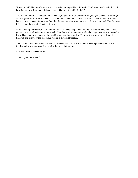"Look around." The monk's voice was placid as he rearranged his *mala* beads. "Look what they have built. Look how they are so willing to rebuild and recover. They stay for faith. So do I."

And they did rebuild. They rebuilt and expanded, digging more caverns and filling the grey stone walls with light. Several groups of pilgrims left. The caves wondered vaguely with a stirring of sand if they had gone off to seek better prospects than a life pursuing faith, but then monasteries sprung up around them and although Yue Zun never left the caves, he sent pilgrims to visit them.

Scrolls piled up in caverns, the art and literature all made by people worshipping the religion. They made more paintings and inked scriptures onto the walls. Yue Zun wore an easy smile when he taught the ones who wanted to learn. There were people next to him, teaching and learning in tandem. They wrote poems, they made art, they believed, and every day the golden sun rose on a thousand Buddhas.

There came a time, then, when Yue Zun had to leave. Because he was human. He was ephemeral and he was fleeting and so was that very first painting, but his belief was not.

## *I THINK I HAVE FAITH, NOW.*

"That is good, old friend."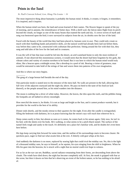# Prints in the Sand

#### St. Paul's Convent School, Law, Hong Yin Louisa - 16

The most impressive thing about humanity is probably the human mind. It thinks, it creates; it forgets, it remembers. It is inspired, and it inspires.

When the human mind was born, the land and ocean learned of their names. The flowers began to speak of the joy of morning, and in autumn, the remembrance of better days. With a shrill wail, the falcon takes flight from its perch beyond the clouds, no longer as one of the many beasts that roamed the earth and sky. A crown woven of myth and song was bestowed upon the bird; it now surveyed its subjects from the air, its shrieks now the law of the land.

Faced with the beauty of the world that they had been placed in, humans were in awe. They could only create so much with their fumbling hands and primitive skills, yet the natural world had already been laid out before them, way before they came to be, constructed with craftsman-like perfection. Sitting around the fire with their kin, they sang and told tales of the love for the land and its creatures.

It was the will of fate that man would be led into the desert, an arid wasteland home to only the most resilient of animals. If one observed this monotonous scenery, it would seem that the desert had been forgotten by the gods, the vibrant colors and variety of creation nowhere to be found. But it was here in which the human mind would truly shine, like a beacon upon a midnight ocean, like a dewdrop in a pool of ink. Bearing a vision of greatness, man would be entrusted to take hold of the strings of fate and weave them into patterns of his own imagination.

And this is where our story begins.

 $\overline{\phantom{a}}$ 

The gong of a large bronze bell heralds the end of the day.

One particular monk is seated next to the entrance of the mess hall. No walls are present in the hall, allowing him full view of the adjacent courtyard and the night sky above. He pays no heed to the taste of his food (or lack thereof), or the people around him, as his mind wanders into the distance.

The moon is nothing but a sliver of white today. However, the leaves, the tiles upon the roofs, and the pebbles lining the footpaths are all bathed in silvery moonlight.

How merciful the moon is, he thinks. It is not as large and bright as the Sun, and it cannot produce warmth, but it provides for the world to the best of its ability.

Dinner ends shortly, and the monks retreat to their quarters for the night. Even after the candle is extinguished, filling the bedroom with darkness, he is at peace knowing that the moon's rays will reach him wherever he is.

Sleep comes easily to him, but almost as soon as it comes, he comes back to his senses again. Only now, he isn't in his bed, with the sheets over his body. He's walking, in what seems to be a pitch-black tunnel. The surface of the tunnel feels rough and sandy to the touch. It's definitely not a place he's familiar with, and he doubts he's even been here before.

His legs keep carrying him forward for some time, and the outline of his surroundings starts to become clearer. He quickens pace, eager to find out what awaits him at the exit. A bitterly cold gust whips at his face.

And suddenly the darkness is no more, replaced by searing light that could rival the midday sun. No, this is the light of a thousand midday suns, he says to himself, as he squints, his eyes stinging from the shift in brightness. When he lifts his gaze into the heavens, he is struck with a sight that no mortal could ever hope to witness.

For as far as the eye can see, Buddhas, sacred radiance emanating from their forms, are descending from above the clouds. The winds have died down; the night has become completely still. At first, the monk is gripped with fear at the scene, but then it dawns on him that he's observing an event of the holiest nature, so he has nothing to be afraid of.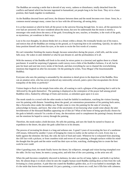The Buddhas are wearing a smile that is devoid of any worry, sadness or disturbance, totally detached from the conflicts and hatred which has become ingrained in humankind, yet people long to be free from. They sit in a lotus position, their hands together in meditation.

As the Buddhas descend lower and lower, the distance between them and the monk becomes ever closer. Soon, he, a common mortal amongst many, comes face to face with the all-knowing, all-seeing deity.

It is at that moment at which he feels all the power in the universe flowing through him. At once, all the questions he ever had are answered. He once wondered about the moon, but now he understands that the moon is merely a messenger who sends down the mercy of the gods. Everything he sees, touches, or breathes, is the work of the gods, so mysterious, yet wondrous in their ways.

Lost in his own thoughts, he almost thinks he's in a dream within a dream. He eventually breaks out of his trance, and notices that all the Buddhas are resting on the ground, as if expecting him to do something. Quickly, he takes the lotus position himself and closes his eyes, as he starts to recite the first words of a mantra.

He can't remember finishing the mantra though, because somewhere during the prayer, a bell tolls, and the scene falls away. He wakes in utter disbelief at what he just dreamt of, and the profoundness of it all.

With the memory of the Buddha still fresh in his mind, he mixes paints in a (mortar) and applies them to a blank parchment. It would be surprising if pigments could convey even a little of the Buddha's holiness, if at all, but he puts his heart and soul into every stroke of the brush, and does everything he can to channel the overwhelming emotions that lingered on after his encounter. On the painting he writes, 'Fozu Mogao' (The Insurmountable Buddha).

Everyone who sees the painting is astounded by the attention to detail given in the depiction of the Buddha. How can an amateur artist, who has never produced any noteworthy artwork, paint a piece that encapsulates the divine tranquility of the deity so perfectly?

Visitors begin to flock to the temple from miles afar, all wanting to catch a glimpse of the painting that is said to be 'delivered by the gods themselves'. The painting is displayed as the centerpiece of the prayer hall among prized Buddhist relics, flanked by offerings of fruits and incense, as onlookers gaze upon it in awe.

The monk stands in a crowd with the other monks to lead the faithful in meditation, watching the visitors fawning over his painting with distaste. Something about the grand, yet ostentatious presentation of his painting feels amiss, like a fireworks show under the midday sun. People come to view the painting for the sake of viewing it, acknowledge its beauty, and leave. But what of the uncertainty of not knowing what would come ahead, the utter bewilderment of the thousand Buddhas appearing out of thin air? What of the honor of being specifically chosen by the gods to behold a miracle? In a stroke of irony, the decorations used to complement the painting's beauty drowned out the emotions he hoped to convey through the painting.

Therefore, the monk makes a bold decision. He sells the painting, and uses the funds he earned to finance an expedition to the desert, the place the gods called him to in his dreams.

The process of recreating his dream is a long and arduous one. A good 3 years of excavating the face of a sandstone cliff ensues, followed by another 3 years of bringing his vision to reality on the surface of a rock. Every day is a battle against the elements: the heat, the cold, the lack of food and water. Whenever he is exhausted from attacking the cliff face with a pickaxe, or from countless trials and errors of cave painting, a thought surfaces within his mindthe thought that the gods and the entire world has their eyes on him, watching, challenging him to create the best work he ever could.

After 6 grueling years, the monk finally leaves the desert, his willpower, strength and vision having triumphed over the odds. On his way home, he meets a young artist, and tells him of the cave painting, so the artist sets off.

When the path becomes completely obscured in darkness, he takes out his oil lamp, lights it, and holds it up before him. He almost drops it in shock when he sees the roughly human-sized Buddha smiling down at him from the wall, levitating in a lotus position. A pale blue tint coated the Buddha's golden skin, as if it was bathed in moonlight. But it's the smile that leaves him mesmerized. It's just a painting, a curve drawn on a wall, but it fills him with calmness.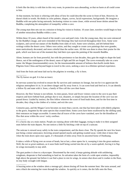It feels like the deity is with him in this very room, its protective aura abounding, so that no harm at all could come to him.

At that moment, his brain is whirring with ideas of how he could describe the scene in front of him. However, he doesn't think in words. He thinks in color palettes, shapes, curves, facial expressions, backgrounds. He imagines a Buddha with one palm facing outwards, beckoning visitors to come closer, while several lesser deities attend the Buddha, completing the atmosphere of tranquility within a cave.

The young man then sets out on a mission to bring his vision to fruition. 10 years later, travelers would begin to hear of another miraculous Buddha within a cave.

Within these 10 years, others heard of the monk's cave and paid visits. Like the young man, they too were entranced by the Buddha's image, and were reminded of the blessings they had received throughout their lives. Some were sculptors, and carved out statues of the Buddha from slabs of rock. Some were scholars, and left behind their writings within the desert caves. Others were artists, and they sought to create cave paintings that were grander, more meticulously decorated, and more colorful than the earlier ones. All this was done to show their praise for the gods, which was born out of the moment they laid their eyes upon the painting of the moonlit Buddha.

Alone, humans are far from powerful, but with the persistence to last decades, they gain the might to shape the land. Hence, out of the nothingness of the desert, oases of light and life are forged. The caves eventually take on a new name: the Mogao (insurmountable) caves, for the insurmountable amount of holiness that dwells inside them. Pilgrims from China and beyond begin to travel to the caves, seeking a once-in-a-lifetime spiritual experience.

And from the fruits and meat laid out by the pilgrims in worship, a fly is born.

The fly knows no god. It is but an insect.

\_\_\_\_\_\_\_\_\_

 $\overline{\phantom{a}}$ 

\_\_\_\_\_\_\_\_\_

Its nervous system has evolved to ensure the fly survives and continues its lineage, but not for it to appreciate the religious atmosphere it's in. It can detect danger and fly away from it. It can scent food and feed on it. It can identify a fellow fly and mate with it. Soon, a family of flies call the cave their home.

However, the flies' fortune is not infinite. As time passes, fewer and fewer visitors come to the cave to pay their respects and leave behind food, perhaps due to war, disasters, or simply because the location of the cave was not passed down. Guided by instinct, the flies follow wherever the scent of food leads them, and for the first time in decades, they cling to the clothes of a visitor, and exit the cave.

Centuries pass, and the Mogao Caves becomes no more than a secret, one that has been taken with elderly pilgrims to the grave, forgotten by the same species that created them. Some caves have been swallowed by the shifting sand, their entrances no longer accessible. It seems that all traces of the caves have vanished, save for the bloodline of flies that arose within the caves' rocky confines.

It's a hectic day at a train station. People are running about with their luggage, trying to make it to their assigned seats before the train departs. No one notices a little fly hitching a ride on top of a suitcase.

The suitcase is stowed away safely in the train compartment, and the doors close. The fly spends the next few hours just being a minor annoyance, hovering around opened snacks and getting swatted away. Little does it know that when the train doors open once again, it's thousands of miles away from its ancestral home of Dunhuang.

It takes a while of flying over an ocean of heads, but at last, a door opens for it, sweeping it into the great outdoors. Well, the *not so great* outdoors, as it soon finds itself being carried into the air by a warm updraft, forcing it to flap its wings incessantly to stay aloft.

The gust pushes it close to a skyscraper. Disoriented by the wind, it keeps gaining altitude with unfaltering wingbeats, desperate to find something to land on. Its salvation takes the form of a wide open window, impossibly high above the ground, but before it can find a place to rest its wings, its senses shut down and it crashes to the floor, its tiny body wrought with fatigue.

A buzzing noise at the window alerts a teenage girl, almost dozing off from the summer heat. She turns around, and sees a black dot entering her room through the window. As quickly as it comes, the dot falls onto the floor,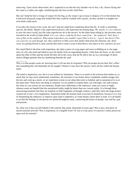unmoving. Upon closer observation, she's surprised to see that the tiny intruder was in fact, a fly. Insects flying into her room is a rather rare sight, considering that she lives on the 52nd floor.

She can't help but feel a twinge of respect for the bug, as she wraps it up in tissue to dispose of it in the kitchen bin. It had such miniscule wings that looked like they could be crushed with a pinch, yet they carried it to heights not even birds could reach.

Even after she returns to her work, she can't stop her mind from wandering about that fly. *It really is something special,* she thinks. *Maybe it has supernatural powers, like Superman but among bugs. Oh- maybe, it's on a mission to save the insect world, just like what superheroes do in the movies!* As the ideas keep rolling in, she becomes more invested in her world of make-belief. *Let's see, where could the fly have come from… the rainforest? Nah, there's tons of flies in the rainforest. What about somewhere you wouldn't expect flies to live in… I got it, the desert! Flies can't just live on sand though, but- they could live in little caves that shelter them from the elements, but- these caves are getting buried in sand, and the flies had to send a scout to find them a new place to live, and here we are!*

Her mind filled to the brim with inspiration, she takes a piece of scrap paper and starts scribbling on it, the tragic story of a fly who tried and failed to save his family from an impending disaster. Little does she know, as she writes about the tribe of flies and the lavish life they led in the caves, that the fly did in fact act as a messenger of those elusive Mogao grottoes that lay slumbering beneath the sand.

Why is it that people create art, knowing that it will one day be forgotten? Why do people devote their life's effort into something that will ultimately be for naught? I believe I may have the answer, and it all lies within the human mind.

\_\_\_\_\_\_\_\_\_\_

The mind is impressive, yes- but it is not without its limitations. There is so much in the universe that eludes us, so much that we may never understand; sometimes, the neurones in our brains throw completely random images into the mix and cook up a storm, so we experience events in our sleep that seem so familiar and so nonsensical to us at the same time! These have one thing in common: we are unable to explain them, not with logic, not with science, but what we can convey are our emotions. People react differently to the unknown- some are cower in fright, whereas some are hopeful that the unexplored reality might be better than our current reality. It is through these unwavering emotions that they are inspired, as little fragments of thought coalesce, until they form one large picture created out of one's own imagination. Inspiration helps the human mind overcome its limitations, because it is a way of interpreting the unknown, to improve upon what is imperfect, to create beauty where there is none. It is all thanks to art that the feelings of one person are spread throughout many, connecting the hearts of people, near and far, past and present.

So, what was it that was left behind in the sand by that monk, thousands of years ago? Was it just a lost piece of unconventional artwork? Was it inspiration, in a tangible form? Or was it a tiny piece of a person's mind, preserved upon rock for eternity?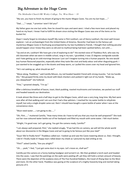# Big Adventure in the Huge Caves

The Methodist Church HK Wesley College, Tse, Won Huen  $-18$ 

"My son, you have to finish my dream of going to the mystic Mogao Caves. You are my last hope…..."

"Dad……," I wept, "I promise I won't fail you!"

My father gave me one last smile, then he closed his eyes and went west. I shed a few more tears and placed my hand on my heart. I knew I had to fulfill his dream since visiting the Mogao Caves was one of the items on his bucket list.

Oops! I nearly forgot to introduce myself! My name is Flint Lockhart, son of Henry Lockhart, the most well-known explorer. I am an archaeologist from the United States of America. Recently I had been to the famous yet mysterious Mogao Caves in Dunhuang accompanied by my two huckleberry friends. I thought that nothing peculiar would happen since I knew they were so old and no mythical being had been spotted before, not until.....

"Up and at em, Lockhart! We have got a lot of exploring to do!" the excited voice of Thaddeus Rich, who was my old classmate when we were in middle school, rang in my ears. I grumbled, it was 15 degrees centigrade outside and I hate getting up on cold mornings because I just can't imagine turning into a human popsicle. No one would buy human flavoured popsicles, especially when they taste like snot and body odour and other disgusting gunk. I just wanted to be snuggled up in the duvets and keep warm, so I pulled the covers over my head and ignored him.

"He's not waking up, what should we do?"

"Move along, Thaddeus," said Camilla Nilsson, my red headed Swedish friend with strong muscles. "Let me handle this." She grasped firmly onto my duvet with black checkers and yanked it right out of my hands. "Wake up, you sleepyhead!" she hollered.

"Fine," I groaned sleepily, "I'm up."

After a delicious breakfast of bacon, toast, black pudding, roasted mushrooms and tomatoes, we packed our stuff and headed towards our destination.

It took almost like three and a half days to get to the Mogao Caves, which was a very long, long time. My feet were sore after all that walking and I am sure that I had a few splinters. I reached for my water bottle to rehydrate myself, but only a single droplet came out. Rats! I should have bought a spare bottle of water when I was at the convenience store.

"Must need water……I am going to die…..."

"Oh, Flint……" muttered Camilla, "How many times do I have to tell you that you must be well-prepared?" She took out her rose coloured water bottle out of her backpack and filled my mouth with some water. I felt much better.

"Alright, I'm good now. Let's get going. You got the camera ready, Camilla?"

"I am always well prepared, Flint," she replied smugly, "If we had this on camera, we will tell the whole world about our discoveries in the Mogao Caves and we're going to be famous just like your dad!"

"Guys! We're finally here!" Thaddeus called out. I looked up and saw the Caves towering above us. Dad, I thought, I did it! I finally made it! Happy tears rolled down my cheek as I pictured my dad smiling at me.

"Flint?" asked Camilla, "Are you alright?"

"Uh......yeah," I lied, "I just got some dust in my eyes. Let's move on, shall we?"

Camilla put the camera on a funny looking headgear and turned it on. We then grabbed a torch each and headed into the caves. I saw that the paintings on the walls were peeling off, yet they still hold a certain amount of beauty. There were the depiction of the avadana story of The Five Hundred Robbers, the travel of Zhang Qian to the West and more. On the other hand, Thaddeus was gazing at the sculpture of a mighty heavenly king and started taking pictures of it.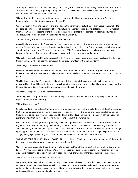"Isn't it great, Lockhart?" laughed Thaddeus, "I first thought that the caves were boring and stuffy but look at that! These marvellous statues, exquisite paintings and stuff……They really could have cost a huge fortune! Sadly, we couldn't take them and sell them to the public……"

"I know, bro. But let's focus on exploring the caves and stop thinking about getting rich since my Grandma Margaret always said that money corrupts the mind."

We went much further into the caves and ended up in the library cave. It stunk up to high heaven that we had to put pegs up our noses. Still, that didn't affect how stunning the manuscripts and relics looked. I saw that most of them are in Chinese, but some of them are written in some languages that I don't know about. So I turned to Thaddeus, who studied translation back when he was in university.

"Thaddeus, do you know what the other ones were written in?"

He grabbed out a huge book of languages and explained them to me, "Look, that one is written in Tibetan, that one's in Sanskrit, the third one is in Sogadian, and the fourth is in…...uh……" He flipped a few pages in his book and soon found out the answer. "Oh my……," he exclaimed, "The fourth one is written in a little known language known as Khotanese. Not many people could translate it since it's extremely hard to learn."

"Flint, check this out!" said Camilla enthusiastically, "There are loads of other manuscripts here! And they have one thing in common - they all bear the same seal! Could they be written by the same writer?"

"Probably, I'll write that in my notebook."

I was pondering what the relics were about when I heard a booming sound. Thaddeus dropped his book and looked around in horror. His face was pale like a block of mozzarella, which nearly made me slice it up and put it on pizza.

"Lockhart, what was that?" He asked. I said nothing but shrugged and shook my head, in fact my legs were quivering like jelly and I heard that my heart was thumping like a drum. I turned to Camilla, who was observing The Chinese Diamond Sūtra, the oldest known dated printed book in the world.

"Camilla," I whispered, " Did you hear something?"

"Probably," she said apathetically, "I hear everything all the time." I knew that she wasn't paying attention and I sighed. Suddenly, it happened again.

#### "Shhh! There it is again!"

Camilla heard it this time. I saw that her eyes were wide open and her teeth were chattering. My first thought was that some tomb raiders were coming to steal the precious treasures in the caves, and they might kidnap us and throw us into some place where nobody could find us, but Thaddeus and Camilla said that it might be a vengeful spirit who knew that we were disrupting his sleep, and I thought they were right.

We heard more stomping from the great hall, and when it got closer we all freaked out. I quickly looked around in my backpack to look for something to defend myself with, but what I could come up with was my titanium pick axe. Thaddeus grabbed one of his spare rubber boots and Camilla took out her Swiss Army knife. When the strange figure approached us, we braced ourselves. But it wasn't a tomb raider, and it wasn't a vengeful spirit either. It was a huge, terrifying dragon with green scales, amber coloured eyes and platinum coloured antlers.

"WHAT ARE YOU MEDDLING HUMANS DOING HERE?" it bellowed. Thaddeus completely jumped out of his skin. His face went completely purple with fear and he almost fainted.

"I'm sorry, mighty dragon lord! We didn't mean to disturb you!" cried Camilla frantically while falling down to her knees, "Will you please spare our lives? We're just three archaeologists who are doing some research!" But the dragon didn't seem to calm down. Instead, it opened its jaws, showing its sharp fangs that look like daggers.

#### "OH GOD!!!" shrieked Thaddeus, "RUN FOR IT!!!"

We got out of the main hall and started running in the narrow and steep corridors, but the dragon was chasing us at cheetah speed. Camilla and I were quick on our feet, but Thaddeus was falling behind. Thaddeus may be smart and muscular, but he was so heavy that he could not run fast. Knowing that he was in danger, I clutched his hand and dragged him so he won't end up being dragon chow.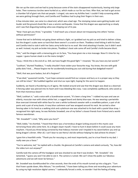We ran up the stairs and we had to jump because some of the stairs disappeared mysteriously, leaving only large holes. Then numerous torches were hurled at us, which made us run for our lives. After that, we had to get across a chamber full of giant rats that eat people. I cringed, rats were my Achilles heel. I couldn't help screaming while we were getting through them, and Camilla and Thaddeus had to plug their fingers in their ears.

A few minutes later, we came to a dead end, which was a bad sign. The stomping noises were getting louder and louder and the ground shook like it was a seismic earthquake. I knew that the dragon was approaching us slowly and I saw that disgusting looking saliva was dripping out of its jaw.

"Now I have got you three," it growled, "I shall teach you a lesson about not trespassing into others' homes without permission!"

I knew that we're definitely not going down without a fight, so I grabbed out my pick ax and tried to deliver a blow, but the dragon's scales were so hard that there weren't a scratch on them. Thaddeus tried hitting it with his boot and Camilla tried to stab it with her Swiss army knife but to no avail. We tried attacking it harder, but it didn't work as well. Instead, my pick ax broke into pieces, Thaddeus's boot sole came off and Camilla's knife became blunt.

"Hm," said the dragon with a menacing grin on its face, "You have given me a nice massage. Now it's time for my supper. I guess human steak is on the menu tonight."

"Guys, I think this is the end of us. Still, we have fought the good fight." I moaned, "Do you have any last words?"

"Lockhart," blurted Thaddeus, "I really shouldn't have stolen your favourite mug. You know, the one with gold polka dots? And…...Please forgive me for accidentally knocking you out cold during that dodgeball match!"

"Well, that was pure badass, but all is forgiven!"

"If we died," quavered Camilla, "I just hope someone would find our corpses and bury us in a proper way so they can still be intact." We huddled together and shut our eyes tight, hoping for the worst to happen.

Suddenly, we heard a thundering cry of agony. We looked around and saw that the dragon was dead as a doornail. A fencing saber was pierced into its heart and it was bleeding like crazy. I was completely spellbound, who saved us from that monstrous beast?

"Well, Lockhart Jr," said a voice with a Scandinavian accent, "It's been a long time." I rubbed my eyes and saw an elderly, muscular man with silvery white hair, a rugged beard and dainty blue eyes. He was wearing a periwinkle blue overcoat trimmed with white faux fur over a white turtleneck sweater with a snowflake pattern, a pair of ski pants and a pair of army boots. A navy blue cashmere scarf was wrapped around his neck. He carried a silver fencing saber in his hand as a walking stick and a platinum one was attached to his back with a pastel blue strap. I recognised him right away, he was Nicholas Snowbell, one of my father's closest friends from Finland and a worldfamous swordsman.

"Mr. Snowbell!" I cried, "Why were you here?"

"Well, kiddo," he chortled, "I heard that there was a horrendous dragon lurking around in this mystic cave terrorising those who come here. As a dragon slayer myself, I have to hunt it down before it could cause any more mayhem. I found you three being cornered by that hideous monster and I impaled it my sword before you end up being dragon's dinner. After all, I can't bear to see Henry's kid die without helping his dad achieve his dream."

I gave him a heartfelt smile. "Thank you for rescuing us, and most importantly, you're a true friend to my dad. I really owe you a favor."

"You're welcome, lad," he replied with a chuckle. He glanced at Camilla's camera and asked curiously, "So, how did the video turn out anyway?"

Camilla took the camera off the headgear and was shocked to see that it was broken. "Mr. Snowbell," she lamented, "I guess you won't be able to see it. The camera is ruined. We can't show the public our fabulous adventures and we will never be famous."

Mr. Snowbell was dumbfounded for a few seconds, then the ends of his mouth turned up into a big grin. "Turn that frown upside down, Miss Nilsson," he comforted, "I have been tailing you three and recording your adventure by using my high resolution digital camera." I awkwardly forced a smile, no wonder I had the feeling of being